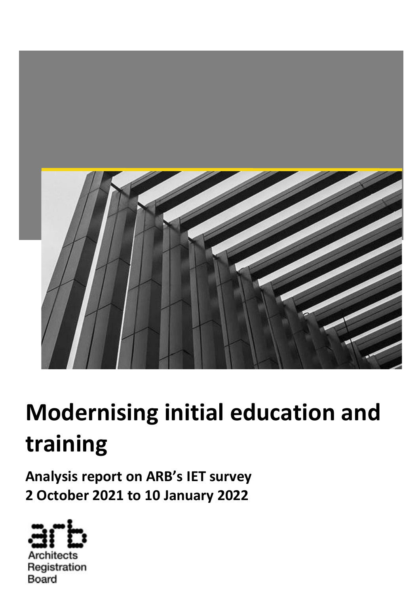

# **Modernising initial education and training**

**Analysis report on ARB's IET survey 2 October 2021 to 10 January 2022**



Architects Registration Board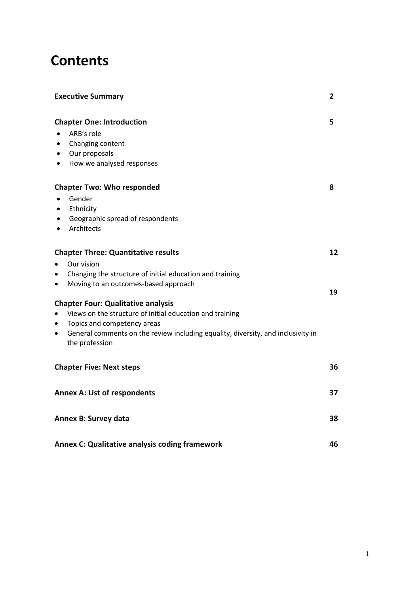## **Contents**

| <b>Executive Summary</b>                                                                                        | 2  |
|-----------------------------------------------------------------------------------------------------------------|----|
| <b>Chapter One: Introduction</b>                                                                                | 5  |
| ARB's role                                                                                                      |    |
| Changing content<br>$\bullet$                                                                                   |    |
| Our proposals<br>$\bullet$                                                                                      |    |
| How we analysed responses<br>$\bullet$                                                                          |    |
| <b>Chapter Two: Who responded</b>                                                                               | 8  |
| Gender<br>$\bullet$                                                                                             |    |
| Ethnicity<br>$\bullet$                                                                                          |    |
| Geographic spread of respondents<br>$\bullet$                                                                   |    |
| Architects<br>$\bullet$                                                                                         |    |
| <b>Chapter Three: Quantitative results</b>                                                                      | 12 |
| Our vision<br>$\bullet$                                                                                         |    |
| Changing the structure of initial education and training<br>$\bullet$                                           |    |
| Moving to an outcomes-based approach<br>$\bullet$                                                               | 19 |
| <b>Chapter Four: Qualitative analysis</b>                                                                       |    |
| Views on the structure of initial education and training<br>$\bullet$                                           |    |
| Topics and competency areas<br>$\bullet$                                                                        |    |
| General comments on the review including equality, diversity, and inclusivity in<br>$\bullet$<br>the profession |    |
| <b>Chapter Five: Next steps</b>                                                                                 | 36 |
| <b>Annex A: List of respondents</b>                                                                             | 37 |
| Annex B: Survey data                                                                                            | 38 |
| <b>Annex C: Qualitative analysis coding framework</b>                                                           | 46 |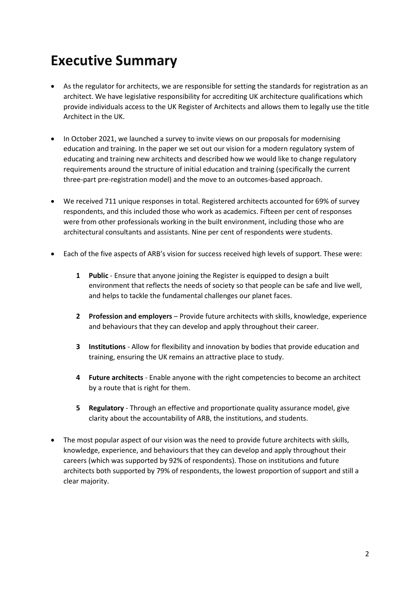# **Executive Summary**

- As the regulator for architects, we are responsible for setting the standards for registration as an architect. We have legislative responsibility for accrediting UK architecture qualifications which provide individuals access to the UK Register of Architects and allows them to legally use the title Architect in the UK.
- In October 2021, we launched a survey to invite views on our proposals for modernising education and training. In the paper we set out our vision for a modern regulatory system of educating and training new architects and described how we would like to change regulatory requirements around the structure of initial education and training (specifically the current three-part pre-registration model) and the move to an outcomes-based approach.
- We received 711 unique responses in total. Registered architects accounted for 69% of survey respondents, and this included those who work as academics. Fifteen per cent of responses were from other professionals working in the built environment, including those who are architectural consultants and assistants. Nine per cent of respondents were students.
- Each of the five aspects of ARB's vision for success received high levels of support. These were:
	- **1 Public** Ensure that anyone joining the Register is equipped to design a built environment that reflects the needs of society so that people can be safe and live well, and helps to tackle the fundamental challenges our planet faces.
	- **2 Profession and employers** Provide future architects with skills, knowledge, experience and behaviours that they can develop and apply throughout their career.
	- **3 Institutions** Allow for flexibility and innovation by bodies that provide education and training, ensuring the UK remains an attractive place to study.
	- **4 Future architects**  Enable anyone with the right competencies to become an architect by a route that is right for them.
	- **5 Regulatory** Through an effective and proportionate quality assurance model, give clarity about the accountability of ARB, the institutions, and students.
- The most popular aspect of our vision was the need to provide future architects with skills, knowledge, experience, and behaviours that they can develop and apply throughout their careers (which was supported by 92% of respondents). Those on institutions and future architects both supported by 79% of respondents, the lowest proportion of support and still a clear majority.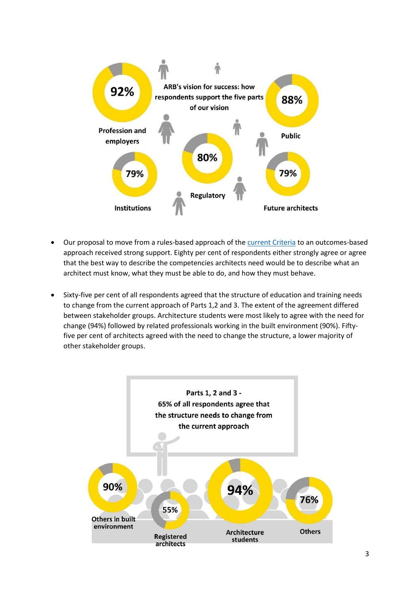

- Our proposal to move from a rules-based approach of th[e current Criteria](https://arb.org.uk/information-for-schools-of-architecture/arb-criteria/) to an outcomes-based approach received strong support. Eighty per cent of respondents either strongly agree or agree that the best way to describe the competencies architects need would be to describe what an architect must know, what they must be able to do, and how they must behave.
- Sixty-five per cent of all respondents agreed that the structure of education and training needs to change from the current approach of Parts 1,2 and 3. The extent of the agreement differed between stakeholder groups. Architecture students were most likely to agree with the need for change (94%) followed by related professionals working in the built environment (90%). Fiftyfive per cent of architects agreed with the need to change the structure, a lower majority of other stakeholder groups.

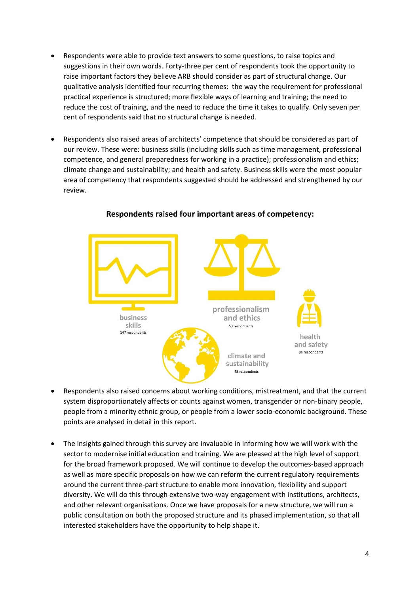- Respondents were able to provide text answers to some questions, to raise topics and suggestions in their own words. Forty-three per cent of respondents took the opportunity to raise important factors they believe ARB should consider as part of structural change. Our qualitative analysis identified four recurring themes: the way the requirement for professional practical experience is structured; more flexible ways of learning and training; the need to reduce the cost of training, and the need to reduce the time it takes to qualify. Only seven per cent of respondents said that no structural change is needed.
- Respondents also raised areas of architects' competence that should be considered as part of our review. These were: business skills (including skills such as time management, professional competence, and general preparedness for working in a practice); professionalism and ethics; climate change and sustainability; and health and safety. Business skills were the most popular area of competency that respondents suggested should be addressed and strengthened by our review.



#### Respondents raised four important areas of competency:

- Respondents also raised concerns about working conditions, mistreatment, and that the current system disproportionately affects or counts against women, transgender or non-binary people, people from a minority ethnic group, or people from a lower socio-economic background. These points are analysed in detail in this report.
- The insights gained through this survey are invaluable in informing how we will work with the sector to modernise initial education and training. We are pleased at the high level of support for the broad framework proposed. We will continue to develop the outcomes-based approach as well as more specific proposals on how we can reform the current regulatory requirements around the current three-part structure to enable more innovation, flexibility and support diversity. We will do this through extensive two-way engagement with institutions, architects, and other relevant organisations. Once we have proposals for a new structure, we will run a public consultation on both the proposed structure and its phased implementation, so that all interested stakeholders have the opportunity to help shape it.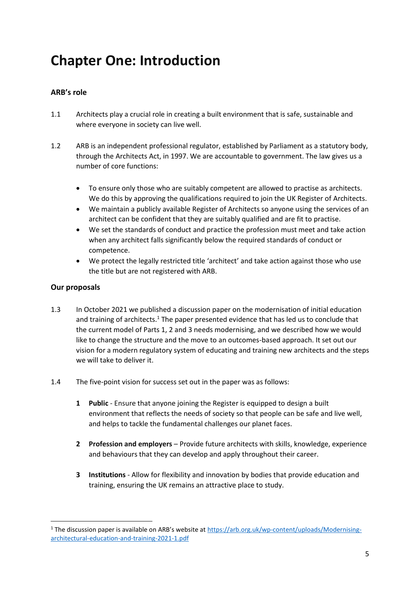# **Chapter One: Introduction**

#### **ARB's role**

- 1.1 Architects play a crucial role in creating a built environment that is safe, sustainable and where everyone in society can live well.
- 1.2 ARB is an independent professional regulator, established by Parliament as a statutory body, through the Architects Act, in 1997. We are accountable to government. The law gives us a number of core functions:
	- To ensure only those who are suitably competent are allowed to practise as architects. We do this by approving the qualifications required to join the UK Register of Architects.
	- We maintain a publicly available Register of Architects so anyone using the services of an architect can be confident that they are suitably qualified and are fit to practise.
	- We set the standards of conduct and practice the profession must meet and take action when any architect falls significantly below the required standards of conduct or competence.
	- We protect the legally restricted title 'architect' and take action against those who use the title but are not registered with ARB.

#### **Our proposals**

- 1.3 In October 2021 we published a discussion paper on the modernisation of initial education and training of architects.<sup>1</sup> The paper presented evidence that has led us to conclude that the current model of Parts 1, 2 and 3 needs modernising, and we described how we would like to change the structure and the move to an outcomes-based approach. It set out our vision for a modern regulatory system of educating and training new architects and the steps we will take to deliver it.
- 1.4 The five-point vision for success set out in the paper was as follows:
	- **1 Public** Ensure that anyone joining the Register is equipped to design a built environment that reflects the needs of society so that people can be safe and live well, and helps to tackle the fundamental challenges our planet faces.
	- **2 Profession and employers** Provide future architects with skills, knowledge, experience and behaviours that they can develop and apply throughout their career.
	- **3 Institutions** Allow for flexibility and innovation by bodies that provide education and training, ensuring the UK remains an attractive place to study.

<sup>1</sup> The discussion paper is available on ARB's website at [https://arb.org.uk/wp-content/uploads/Modernising](https://arb.org.uk/wp-content/uploads/Modernising-architectural-education-and-training-2021-1.pdf)[architectural-education-and-training-2021-1.pdf](https://arb.org.uk/wp-content/uploads/Modernising-architectural-education-and-training-2021-1.pdf)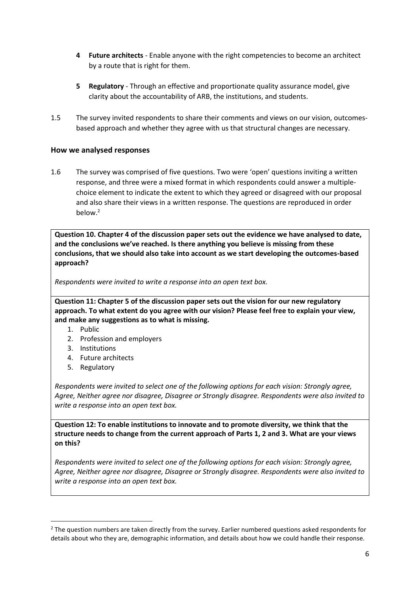- **4 Future architects**  Enable anyone with the right competencies to become an architect by a route that is right for them.
- **5 Regulatory** Through an effective and proportionate quality assurance model, give clarity about the accountability of ARB, the institutions, and students.
- 1.5 The survey invited respondents to share their comments and views on our vision, outcomesbased approach and whether they agree with us that structural changes are necessary.

#### **How we analysed responses**

1.6 The survey was comprised of five questions. Two were 'open' questions inviting a written response, and three were a mixed format in which respondents could answer a multiplechoice element to indicate the extent to which they agreed or disagreed with our proposal and also share their views in a written response. The questions are reproduced in order below. 2

**Question 10. Chapter 4 of the discussion paper sets out the evidence we have analysed to date, and the conclusions we've reached. Is there anything you believe is missing from these conclusions, that we should also take into account as we start developing the outcomes-based approach?**

*Respondents were invited to write a response into an open text box.*

**Question 11: Chapter 5 of the discussion paper sets out the vision for our new regulatory approach. To what extent do you agree with our vision? Please feel free to explain your view, and make any suggestions as to what is missing.**

- 1. Public
- 2. Profession and employers
- 3. Institutions
- 4. Future architects
- 5. Regulatory

*Respondents were invited to select one of the following options for each vision: Strongly agree, Agree, Neither agree nor disagree, Disagree or Strongly disagree. Respondents were also invited to write a response into an open text box.*

**Question 12: To enable institutions to innovate and to promote diversity, we think that the structure needs to change from the current approach of Parts 1, 2 and 3. What are your views on this?**

*Respondents were invited to select one of the following options for each vision: Strongly agree, Agree, Neither agree nor disagree, Disagree or Strongly disagree. Respondents were also invited to write a response into an open text box.*

<sup>&</sup>lt;sup>2</sup> The question numbers are taken directly from the survey. Earlier numbered questions asked respondents for details about who they are, demographic information, and details about how we could handle their response.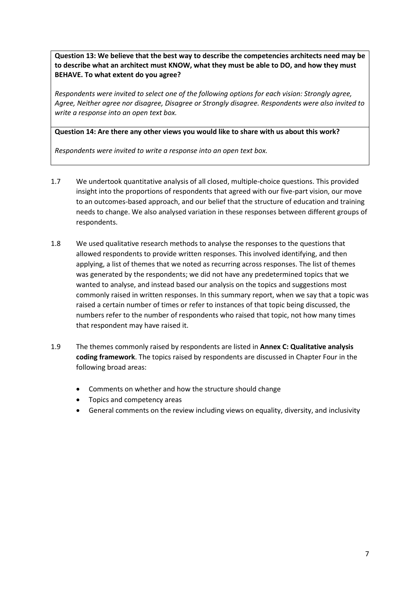**Question 13: We believe that the best way to describe the competencies architects need may be to describe what an architect must KNOW, what they must be able to DO, and how they must BEHAVE. To what extent do you agree?**

*Respondents were invited to select one of the following options for each vision: Strongly agree, Agree, Neither agree nor disagree, Disagree or Strongly disagree. Respondents were also invited to write a response into an open text box.*

#### **Question 14: Are there any other views you would like to share with us about this work?**

*Respondents were invited to write a response into an open text box.*

- 1.7 We undertook quantitative analysis of all closed, multiple-choice questions. This provided insight into the proportions of respondents that agreed with our five-part vision, our move to an outcomes-based approach, and our belief that the structure of education and training needs to change. We also analysed variation in these responses between different groups of respondents.
- 1.8 We used qualitative research methods to analyse the responses to the questions that allowed respondents to provide written responses. This involved identifying, and then applying, a list of themes that we noted as recurring across responses. The list of themes was generated by the respondents; we did not have any predetermined topics that we wanted to analyse, and instead based our analysis on the topics and suggestions most commonly raised in written responses. In this summary report, when we say that a topic was raised a certain number of times or refer to instances of that topic being discussed, the numbers refer to the number of respondents who raised that topic, not how many times that respondent may have raised it.
- 1.9 The themes commonly raised by respondents are listed in **Annex C: Qualitative analysis coding framework**. The topics raised by respondents are discussed in Chapter Four in the following broad areas:
	- Comments on whether and how the structure should change
	- Topics and competency areas
	- General comments on the review including views on equality, diversity, and inclusivity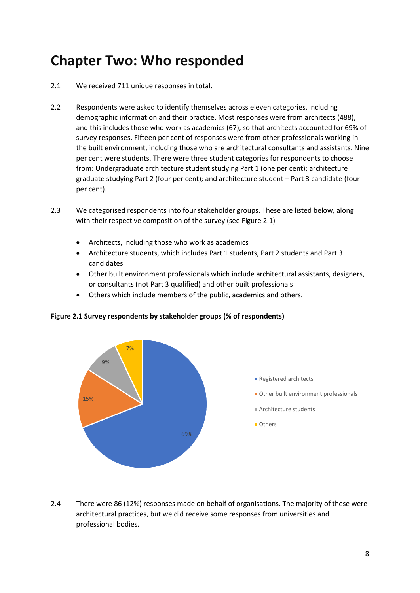# **Chapter Two: Who responded**

- 2.1 We received 711 unique responses in total.
- 2.2 Respondents were asked to identify themselves across eleven categories, including demographic information and their practice. Most responses were from architects (488), and this includes those who work as academics (67), so that architects accounted for 69% of survey responses. Fifteen per cent of responses were from other professionals working in the built environment, including those who are architectural consultants and assistants. Nine per cent were students. There were three student categories for respondents to choose from: Undergraduate architecture student studying Part 1 (one per cent); architecture graduate studying Part 2 (four per cent); and architecture student – Part 3 candidate (four per cent).
- 2.3 We categorised respondents into four stakeholder groups. These are listed below, along with their respective composition of the survey (see Figure 2.1)
	- Architects, including those who work as academics
	- Architecture students, which includes Part 1 students, Part 2 students and Part 3 candidates
	- Other built environment professionals which include architectural assistants, designers, or consultants (not Part 3 qualified) and other built professionals
	- Others which include members of the public, academics and others.



#### **Figure 2.1 Survey respondents by stakeholder groups (% of respondents)**

2.4 There were 86 (12%) responses made on behalf of organisations. The majority of these were architectural practices, but we did receive some responses from universities and professional bodies.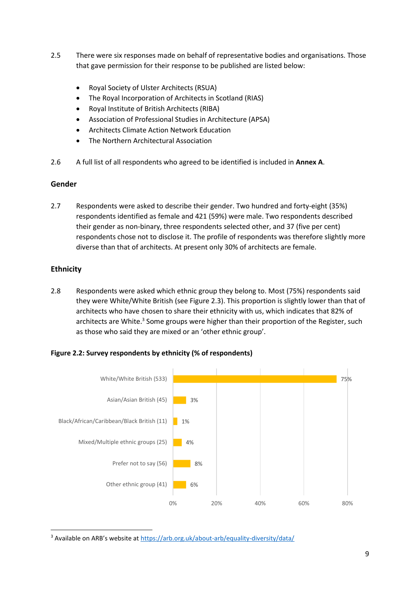- 2.5 There were six responses made on behalf of representative bodies and organisations. Those that gave permission for their response to be published are listed below:
	- Royal Society of Ulster Architects (RSUA)
	- The Royal Incorporation of Architects in Scotland (RIAS)
	- Royal Institute of British Architects (RIBA)
	- Association of Professional Studies in Architecture (APSA)
	- Architects Climate Action Network Education
	- The Northern Architectural Association
- 2.6 A full list of all respondents who agreed to be identified is included in **Annex A**.

#### **Gender**

2.7 Respondents were asked to describe their gender. Two hundred and forty-eight (35%) respondents identified as female and 421 (59%) were male. Two respondents described their gender as non-binary, three respondents selected other, and 37 (five per cent) respondents chose not to disclose it. The profile of respondents was therefore slightly more diverse than that of architects. At present only 30% of architects are female.

#### **Ethnicity**

2.8 Respondents were asked which ethnic group they belong to. Most (75%) respondents said they were White/White British (see Figure 2.3). This proportion is slightly lower than that of architects who have chosen to share their ethnicity with us, which indicates that 82% of architects are White.<sup>3</sup> Some groups were higher than their proportion of the Register, such as those who said they are mixed or an 'other ethnic group'.





<sup>&</sup>lt;sup>3</sup> Available on ARB's website at <https://arb.org.uk/about-arb/equality-diversity/data/>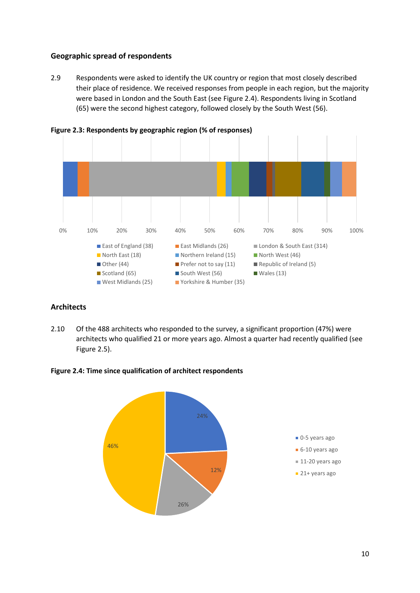#### **Geographic spread of respondents**

2.9 Respondents were asked to identify the UK country or region that most closely described their place of residence. We received responses from people in each region, but the majority were based in London and the South East (see Figure 2.4). Respondents living in Scotland (65) were the second highest category, followed closely by the South West (56).



**Figure 2.3: Respondents by geographic region (% of responses)**

#### **Architects**

2.10 Of the 488 architects who responded to the survey, a significant proportion (47%) were architects who qualified 21 or more years ago. Almost a quarter had recently qualified (see Figure 2.5).

**Figure 2.4: Time since qualification of architect respondents**

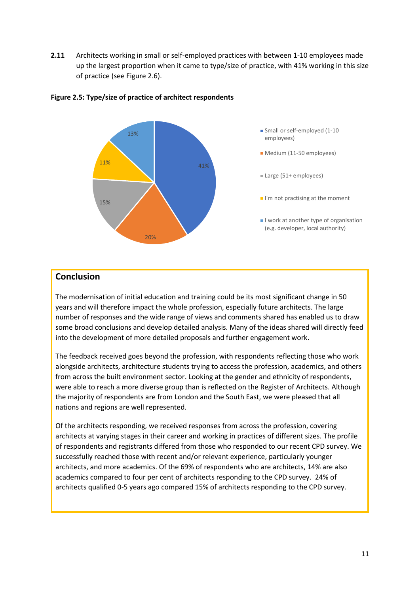**2.11** Architects working in small or self-employed practices with between 1-10 employees made up the largest proportion when it came to type/size of practice, with 41% working in this size of practice (see Figure 2.6).



#### **Figure 2.5: Type/size of practice of architect respondents**

#### **Conclusion**

The modernisation of initial education and training could be its most significant change in 50 years and will therefore impact the whole profession, especially future architects. The large number of responses and the wide range of views and comments shared has enabled us to draw some broad conclusions and develop detailed analysis. Many of the ideas shared will directly feed into the development of more detailed proposals and further engagement work.

The feedback received goes beyond the profession, with respondents reflecting those who work alongside architects, architecture students trying to access the profession, academics, and others from across the built environment sector. Looking at the gender and ethnicity of respondents, were able to reach a more diverse group than is reflected on the Register of Architects. Although the majority of respondents are from London and the South East, we were pleased that all nations and regions are well represented.

Of the architects responding, we received responses from across the profession, covering architects at varying stages in their career and working in practices of different sizes. The profile of respondents and registrants differed from those who responded to our recent CPD survey. We successfully reached those with recent and/or relevant experience, particularly younger architects, and more academics. Of the 69% of respondents who are architects, 14% are also academics compared to four per cent of architects responding to the CPD survey. 24% of architects qualified 0-5 years ago compared 15% of architects responding to the CPD survey.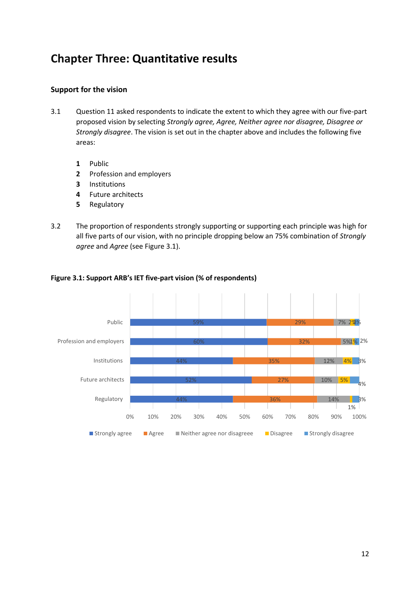### **Chapter Three: Quantitative results**

#### **Support for the vision**

- 3.1 Question 11 asked respondents to indicate the extent to which they agree with our five-part proposed vision by selecting *Strongly agree, Agree, Neither agree nor disagree, Disagree or Strongly disagree*. The vision is set out in the chapter above and includes the following five areas:
	- **1** Public
	- **2** Profession and employers
	- **3** Institutions
	- **4** Future architects
	- **5** Regulatory
- 3.2 The proportion of respondents strongly supporting or supporting each principle was high for all five parts of our vision, with no principle dropping below an 75% combination of *Strongly agree* and *Agree* (see Figure 3.1).



#### **Figure 3.1: Support ARB's IET five-part vision (% of respondents)**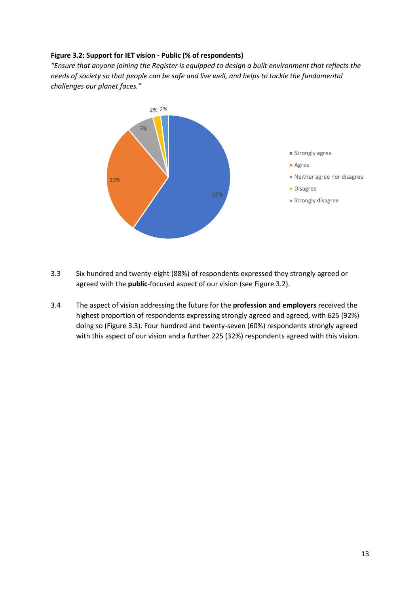#### **Figure 3.2: Support for IET vision - Public (% of respondents)**

*"Ensure that anyone joining the Register is equipped to design a built environment that reflects the needs of society so that people can be safe and live well, and helps to tackle the fundamental challenges our planet faces."*



- 3.3 Six hundred and twenty-eight (88%) of respondents expressed they strongly agreed or agreed with the **public**-focused aspect of our vision (see Figure 3.2).
- 3.4 The aspect of vision addressing the future for the **profession and employers** received the highest proportion of respondents expressing strongly agreed and agreed, with 625 (92%) doing so (Figure 3.3). Four hundred and twenty-seven (60%) respondents strongly agreed with this aspect of our vision and a further 225 (32%) respondents agreed with this vision.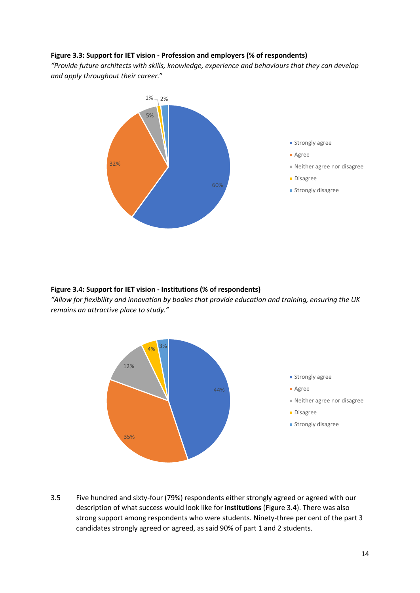#### **Figure 3.3: Support for IET vision - Profession and employers (% of respondents)**

*"Provide future architects with skills, knowledge, experience and behaviours that they can develop and apply throughout their career.*"



#### **Figure 3.4: Support for IET vision - Institutions (% of respondents)**

*"Allow for flexibility and innovation by bodies that provide education and training, ensuring the UK remains an attractive place to study."*



3.5 Five hundred and sixty-four (79%) respondents either strongly agreed or agreed with our description of what success would look like for **institutions** (Figure 3.4). There was also strong support among respondents who were students. Ninety-three per cent of the part 3 candidates strongly agreed or agreed, as said 90% of part 1 and 2 students.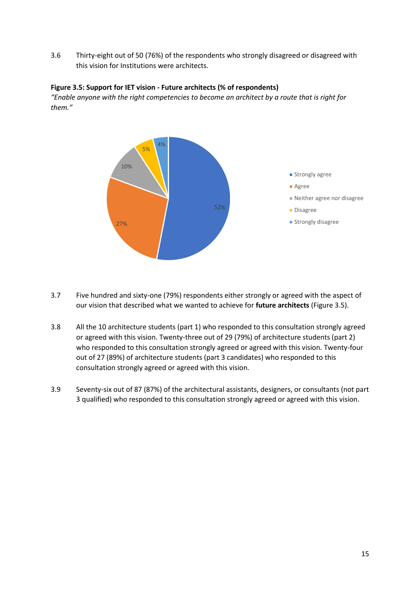3.6 Thirty-eight out of 50 (76%) of the respondents who strongly disagreed or disagreed with this vision for Institutions were architects.

#### **Figure 3.5: Support for IET vision - Future architects (% of respondents)**

*"Enable anyone with the right competencies to become an architect by a route that is right for them."*



- 3.7 Five hundred and sixty-one (79%) respondents either strongly or agreed with the aspect of our vision that described what we wanted to achieve for **future architects** (Figure 3.5).
- 3.8 All the 10 architecture students (part 1) who responded to this consultation strongly agreed or agreed with this vision. Twenty-three out of 29 (79%) of architecture students (part 2) who responded to this consultation strongly agreed or agreed with this vision. Twenty-four out of 27 (89%) of architecture students (part 3 candidates) who responded to this consultation strongly agreed or agreed with this vision.
- 3.9 Seventy-six out of 87 (87%) of the architectural assistants, designers, or consultants (not part 3 qualified) who responded to this consultation strongly agreed or agreed with this vision.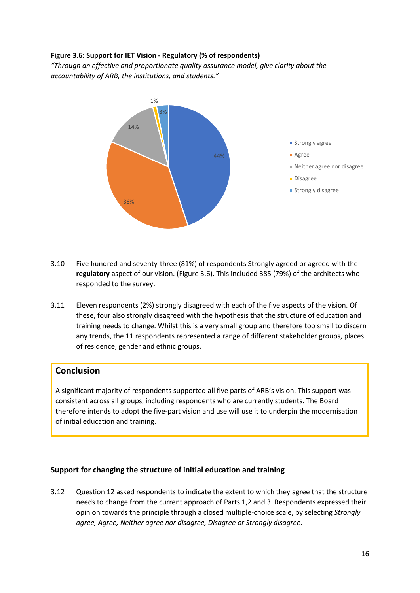#### **Figure 3.6: Support for IET Vision - Regulatory (% of respondents)**

*"Through an effective and proportionate quality assurance model, give clarity about the accountability of ARB, the institutions, and students."*



- 3.10 Five hundred and seventy-three (81%) of respondents Strongly agreed or agreed with the **regulatory** aspect of our vision. (Figure 3.6). This included 385 (79%) of the architects who responded to the survey.
- 3.11 Eleven respondents (2%) strongly disagreed with each of the five aspects of the vision. Of these, four also strongly disagreed with the hypothesis that the structure of education and training needs to change. Whilst this is a very small group and therefore too small to discern any trends, the 11 respondents represented a range of different stakeholder groups, places of residence, gender and ethnic groups.

#### **Conclusion**

A significant majority of respondents supported all five parts of ARB's vision. This support was consistent across all groups, including respondents who are currently students. The Board therefore intends to adopt the five-part vision and use will use it to underpin the modernisation of initial education and training.

#### **Support for changing the structure of initial education and training**

3.12 Question 12 asked respondents to indicate the extent to which they agree that the structure needs to change from the current approach of Parts 1,2 and 3. Respondents expressed their opinion towards the principle through a closed multiple-choice scale, by selecting *Strongly agree, Agree, Neither agree nor disagree, Disagree or Strongly disagree*.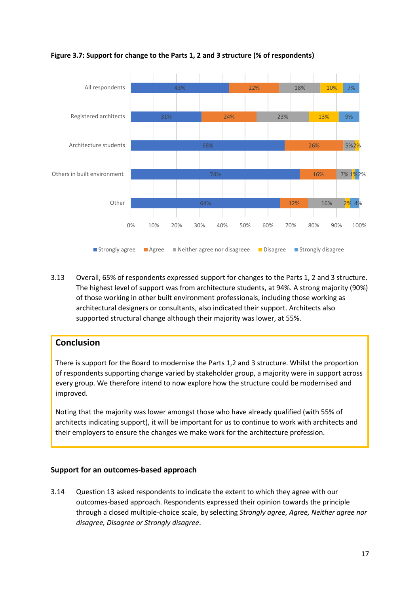

**Figure 3.7: Support for change to the Parts 1, 2 and 3 structure (% of respondents)**

3.13 Overall, 65% of respondents expressed support for changes to the Parts 1, 2 and 3 structure. The highest level of support was from architecture students, at 94%. A strong majority (90%) of those working in other built environment professionals, including those working as architectural designers or consultants, also indicated their support. Architects also supported structural change although their majority was lower, at 55%.

#### **Conclusion**

There is support for the Board to modernise the Parts 1,2 and 3 structure. Whilst the proportion of respondents supporting change varied by stakeholder group, a majority were in support across every group. We therefore intend to now explore how the structure could be modernised and improved.

Noting that the majority was lower amongst those who have already qualified (with 55% of architects indicating support), it will be important for us to continue to work with architects and their employers to ensure the changes we make work for the architecture profession.

#### **Support for an outcomes-based approach**

3.14 Question 13 asked respondents to indicate the extent to which they agree with our outcomes-based approach. Respondents expressed their opinion towards the principle through a closed multiple-choice scale, by selecting *Strongly agree, Agree, Neither agree nor disagree, Disagree or Strongly disagree*.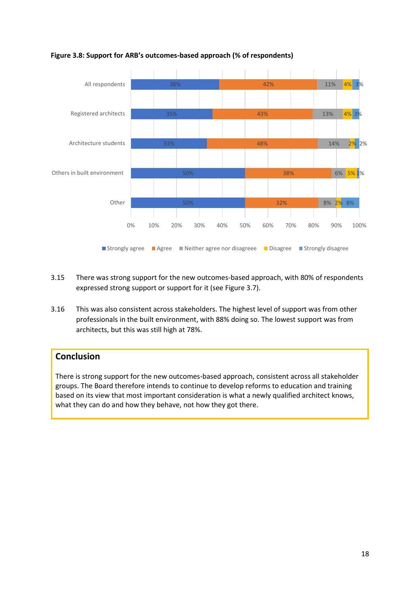

#### **Figure 3.8: Support for ARB's outcomes-based approach (% of respondents)**

- 3.15 There was strong support for the new outcomes-based approach, with 80% of respondents expressed strong support or support for it (see Figure 3.7).
- 3.16 This was also consistent across stakeholders. The highest level of support was from other professionals in the built environment, with 88% doing so. The lowest support was from architects, but this was still high at 78%.

#### **Conclusion**

There is strong support for the new outcomes-based approach, consistent across all stakeholder groups. The Board therefore intends to continue to develop reforms to education and training based on its view that most important consideration is what a newly qualified architect knows, what they can do and how they behave, not how they got there.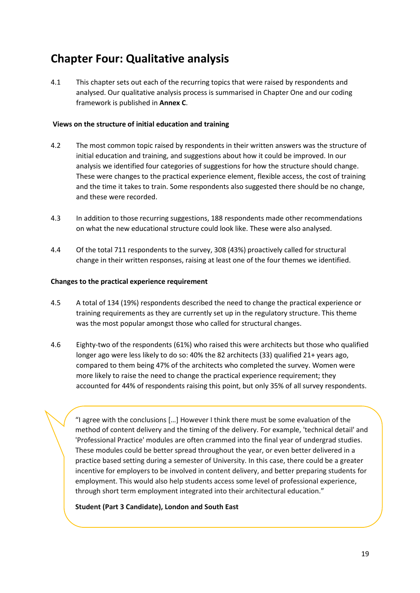### **Chapter Four: Qualitative analysis**

4.1 This chapter sets out each of the recurring topics that were raised by respondents and analysed. Our qualitative analysis process is summarised in Chapter One and our coding framework is published in **Annex C**.

#### **Views on the structure of initial education and training**

- 4.2 The most common topic raised by respondents in their written answers was the structure of initial education and training, and suggestions about how it could be improved. In our analysis we identified four categories of suggestions for how the structure should change. These were changes to the practical experience element, flexible access, the cost of training and the time it takes to train. Some respondents also suggested there should be no change, and these were recorded.
- 4.3 In addition to those recurring suggestions, 188 respondents made other recommendations on what the new educational structure could look like. These were also analysed.
- 4.4 Of the total 711 respondents to the survey, 308 (43%) proactively called for structural change in their written responses, raising at least one of the four themes we identified.

#### **Changes to the practical experience requirement**

- 4.5 A total of 134 (19%) respondents described the need to change the practical experience or training requirements as they are currently set up in the regulatory structure. This theme was the most popular amongst those who called for structural changes.
- 4.6 Eighty-two of the respondents (61%) who raised this were architects but those who qualified longer ago were less likely to do so: 40% the 82 architects (33) qualified 21+ years ago, compared to them being 47% of the architects who completed the survey. Women were more likely to raise the need to change the practical experience requirement; they accounted for 44% of respondents raising this point, but only 35% of all survey respondents.

"I agree with the conclusions […] However I think there must be some evaluation of the method of content delivery and the timing of the delivery. For example, 'technical detail' and 'Professional Practice' modules are often crammed into the final year of undergrad studies. These modules could be better spread throughout the year, or even better delivered in a practice based setting during a semester of University. In this case, there could be a greater incentive for employers to be involved in content delivery, and better preparing students for employment. This would also help students access some level of professional experience, through short term employment integrated into their architectural education."

#### **Student (Part 3 Candidate), London and South East**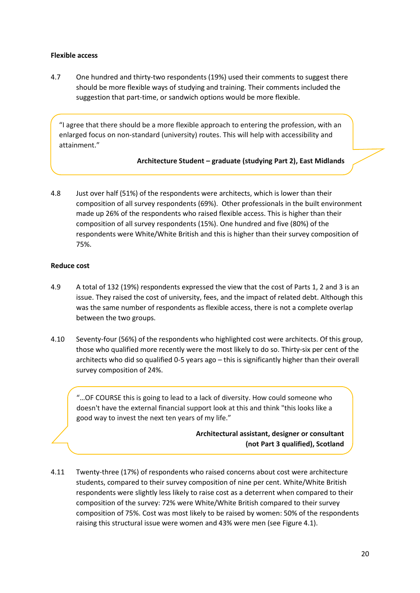#### **Flexible access**

4.7 One hundred and thirty-two respondents (19%) used their comments to suggest there should be more flexible ways of studying and training. Their comments included the suggestion that part-time, or sandwich options would be more flexible.

"I agree that there should be a more flexible approach to entering the profession, with an enlarged focus on non-standard (university) routes. This will help with accessibility and attainment."

#### **Architecture Student – graduate (studying Part 2), East Midlands**

4.8 Just over half (51%) of the respondents were architects, which is lower than their composition of all survey respondents (69%). Other professionals in the built environment made up 26% of the respondents who raised flexible access. This is higher than their composition of all survey respondents (15%). One hundred and five (80%) of the respondents were White/White British and this is higher than their survey composition of 75%.

#### **Reduce cost**

- 4.9 A total of 132 (19%) respondents expressed the view that the cost of Parts 1, 2 and 3 is an issue. They raised the cost of university, fees, and the impact of related debt. Although this was the same number of respondents as flexible access, there is not a complete overlap between the two groups.
- 4.10 Seventy-four (56%) of the respondents who highlighted cost were architects. Of this group, those who qualified more recently were the most likely to do so. Thirty-six per cent of the architects who did so qualified 0-5 years ago – this is significantly higher than their overall survey composition of 24%.

"…OF COURSE this is going to lead to a lack of diversity. How could someone who doesn't have the external financial support look at this and think "this looks like a good way to invest the next ten years of my life."

> **Architectural assistant, designer or consultant (not Part 3 qualified), Scotland**

4.11 Twenty-three (17%) of respondents who raised concerns about cost were architecture students, compared to their survey composition of nine per cent. White/White British respondents were slightly less likely to raise cost as a deterrent when compared to their composition of the survey: 72% were White/White British compared to their survey composition of 75%. Cost was most likely to be raised by women: 50% of the respondents raising this structural issue were women and 43% were men (see Figure 4.1).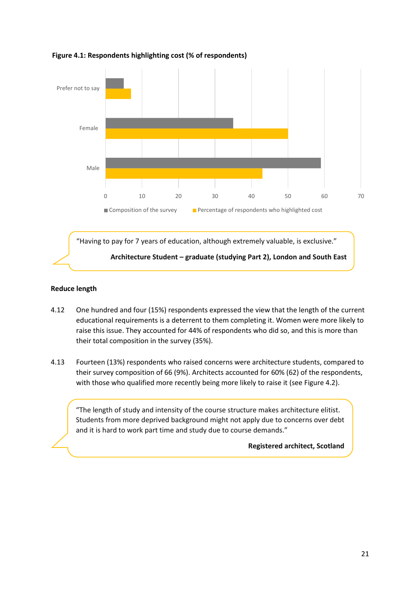

#### **Figure 4.1: Respondents highlighting cost (% of respondents)**

#### **Reduce length**

- 4.12 One hundred and four (15%) respondents expressed the view that the length of the current educational requirements is a deterrent to them completing it. Women were more likely to raise this issue. They accounted for 44% of respondents who did so, and this is more than their total composition in the survey (35%).
- 4.13 Fourteen (13%) respondents who raised concerns were architecture students, compared to their survey composition of 66 (9%). Architects accounted for 60% (62) of the respondents, with those who qualified more recently being more likely to raise it (see Figure 4.2).

"The length of study and intensity of the course structure makes architecture elitist. Students from more deprived background might not apply due to concerns over debt and it is hard to work part time and study due to course demands."

#### **Registered architect, Scotland**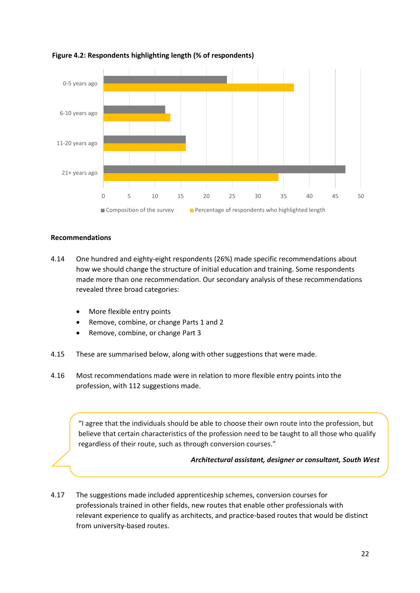

#### **Figure 4.2: Respondents highlighting length (% of respondents)**

#### **Recommendations**

- 4.14 One hundred and eighty-eight respondents (26%) made specific recommendations about how we should change the structure of initial education and training. Some respondents made more than one recommendation. Our secondary analysis of these recommendations revealed three broad categories:
	- More flexible entry points
	- Remove, combine, or change Parts 1 and 2
	- Remove, combine, or change Part 3
- 4.15 These are summarised below, along with other suggestions that were made.
- 4.16 Most recommendations made were in relation to more flexible entry points into the profession, with 112 suggestions made.

"I agree that the individuals should be able to choose their own route into the profession, but believe that certain characteristics of the profession need to be taught to all those who qualify regardless of their route, such as through conversion courses."

#### *Architectural assistant, designer or consultant, South West*

4.17 The suggestions made included apprenticeship schemes, conversion courses for professionals trained in other fields, new routes that enable other professionals with relevant experience to qualify as architects, and practice-based routes that would be distinct from university-based routes.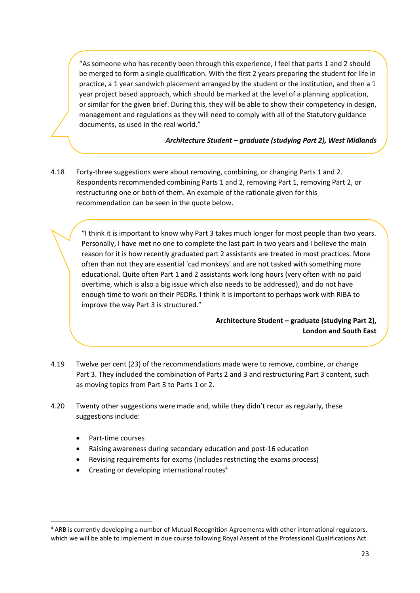"As someone who has recently been through this experience, I feel that parts 1 and 2 should be merged to form a single qualification. With the first 2 years preparing the student for life in practice, a 1 year sandwich placement arranged by the student or the institution, and then a 1 year project based approach, which should be marked at the level of a planning application, or similar for the given brief. During this, they will be able to show their competency in design, management and regulations as they will need to comply with all of the Statutory guidance documents, as used in the real world."

#### *Architecture Student – graduate (studying Part 2), West Midlands*

4.18 Forty-three suggestions were about removing, combining, or changing Parts 1 and 2. Respondents recommended combining Parts 1 and 2, removing Part 1, removing Part 2, or restructuring one or both of them. An example of the rationale given for this recommendation can be seen in the quote below.

"I think it is important to know why Part 3 takes much longer for most people than two years. Personally, I have met no one to complete the last part in two years and I believe the main reason for it is how recently graduated part 2 assistants are treated in most practices. More often than not they are essential 'cad monkeys' and are not tasked with something more educational. Quite often Part 1 and 2 assistants work long hours (very often with no paid overtime, which is also a big issue which also needs to be addressed), and do not have enough time to work on their PEDRs. I think it is important to perhaps work with RIBA to improve the way Part 3 is structured."

> **Architecture Student – graduate (studying Part 2), London and South East**

- 4.19 Twelve per cent (23) of the recommendations made were to remove, combine, or change Part 3. They included the combination of Parts 2 and 3 and restructuring Part 3 content, such as moving topics from Part 3 to Parts 1 or 2.
- 4.20 Twenty other suggestions were made and, while they didn't recur as regularly, these suggestions include:
	- Part-time courses
	- Raising awareness during secondary education and post-16 education
	- Revising requirements for exams (includes restricting the exams process)
	- Creating or developing international routes $4$

<sup>4</sup> ARB is currently developing a number of Mutual Recognition Agreements with other international regulators, which we will be able to implement in due course following Royal Assent of the Professional Qualifications Act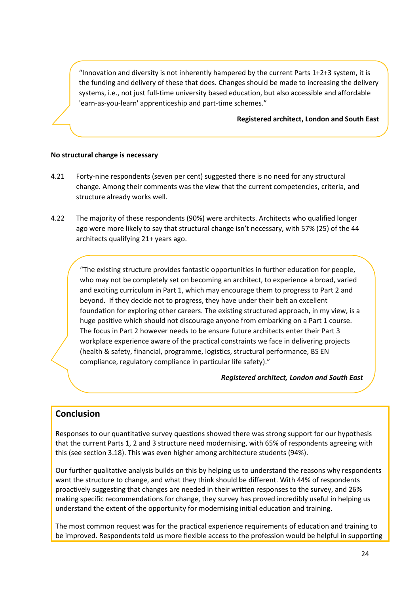"Innovation and diversity is not inherently hampered by the current Parts  $1+2+3$  system, it is the funding and delivery of these that does. Changes should be made to increasing the delivery systems, i.e., not just full-time university based education, but also accessible and affordable 'earn-as-you-learn' apprenticeship and part-time schemes."

#### **Registered architect, London and South East**

#### **No structural change is necessary**

- 4.21 Forty-nine respondents (seven per cent) suggested there is no need for any structural change. Among their comments was the view that the current competencies, criteria, and structure already works well.
- 4.22 The majority of these respondents (90%) were architects. Architects who qualified longer ago were more likely to say that structural change isn't necessary, with 57% (25) of the 44 architects qualifying 21+ years ago.

"The existing structure provides fantastic opportunities in further education for people, who may not be completely set on becoming an architect, to experience a broad, varied and exciting curriculum in Part 1, which may encourage them to progress to Part 2 and beyond. If they decide not to progress, they have under their belt an excellent foundation for exploring other careers. The existing structured approach, in my view, is a huge positive which should not discourage anyone from embarking on a Part 1 course. The focus in Part 2 however needs to be ensure future architects enter their Part 3 workplace experience aware of the practical constraints we face in delivering projects (health & safety, financial, programme, logistics, structural performance, BS EN compliance, regulatory compliance in particular life safety)."

*Registered architect, London and South East*

#### **Conclusion**

Responses to our quantitative survey questions showed there was strong support for our hypothesis that the current Parts 1, 2 and 3 structure need modernising, with 65% of respondents agreeing with this (see section 3.18). This was even higher among architecture students (94%).

Our further qualitative analysis builds on this by helping us to understand the reasons why respondents want the structure to change, and what they think should be different. With 44% of respondents proactively suggesting that changes are needed in their written responses to the survey, and 26% making specific recommendations for change, they survey has proved incredibly useful in helping us understand the extent of the opportunity for modernising initial education and training.

The most common request was for the practical experience requirements of education and training to be improved. Respondents told us more flexible access to the profession would be helpful in supporting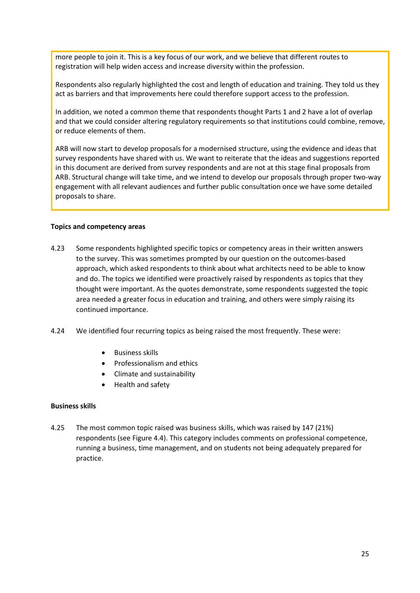more people to join it. This is a key focus of our work, and we believe that different routes to registration will help widen access and increase diversity within the profession.

Respondents also regularly highlighted the cost and length of education and training. They told us they act as barriers and that improvements here could therefore support access to the profession.

In addition, we noted a common theme that respondents thought Parts 1 and 2 have a lot of overlap and that we could consider altering regulatory requirements so that institutions could combine, remove, or reduce elements of them.

ARB will now start to develop proposals for a modernised structure, using the evidence and ideas that survey respondents have shared with us. We want to reiterate that the ideas and suggestions reported in this document are derived from survey respondents and are not at this stage final proposals from ARB. Structural change will take time, and we intend to develop our proposals through proper two-way engagement with all relevant audiences and further public consultation once we have some detailed proposals to share.

#### **Topics and competency areas**

- 4.23 Some respondents highlighted specific topics or competency areas in their written answers to the survey. This was sometimes prompted by our question on the outcomes-based approach, which asked respondents to think about what architects need to be able to know and do. The topics we identified were proactively raised by respondents as topics that they thought were important. As the quotes demonstrate, some respondents suggested the topic area needed a greater focus in education and training, and others were simply raising its continued importance.
- 4.24 We identified four recurring topics as being raised the most frequently. These were:
	- Business skills
	- Professionalism and ethics
	- Climate and sustainability
	- Health and safety

#### **Business skills**

4.25 The most common topic raised was business skills, which was raised by 147 (21%) respondents (see Figure 4.4). This category includes comments on professional competence, running a business, time management, and on students not being adequately prepared for practice.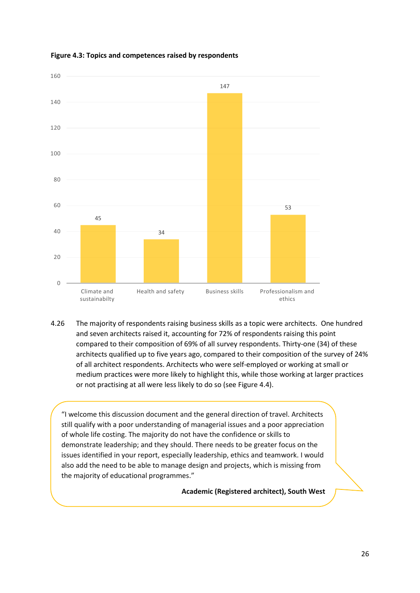

#### **Figure 4.3: Topics and competences raised by respondents**

4.26 The majority of respondents raising business skills as a topic were architects. One hundred and seven architects raised it, accounting for 72% of respondents raising this point compared to their composition of 69% of all survey respondents. Thirty-one (34) of these architects qualified up to five years ago, compared to their composition of the survey of 24% of all architect respondents. Architects who were self-employed or working at small or medium practices were more likely to highlight this, while those working at larger practices or not practising at all were less likely to do so (see Figure 4.4).

"I welcome this discussion document and the general direction of travel. Architects still qualify with a poor understanding of managerial issues and a poor appreciation of whole life costing. The majority do not have the confidence or skills to demonstrate leadership; and they should. There needs to be greater focus on the issues identified in your report, especially leadership, ethics and teamwork. I would also add the need to be able to manage design and projects, which is missing from the majority of educational programmes."

**Academic (Registered architect), South West**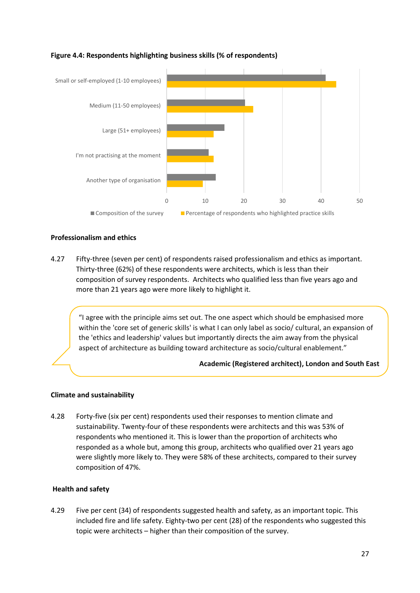

#### **Figure 4.4: Respondents highlighting business skills (% of respondents)**

#### **Professionalism and ethics**

4.27 Fifty-three (seven per cent) of respondents raised professionalism and ethics as important. Thirty-three (62%) of these respondents were architects, which is less than their composition of survey respondents. Architects who qualified less than five years ago and more than 21 years ago were more likely to highlight it.

"I agree with the principle aims set out. The one aspect which should be emphasised more within the 'core set of generic skills' is what I can only label as socio/ cultural, an expansion of the 'ethics and leadership' values but importantly directs the aim away from the physical aspect of architecture as building toward architecture as socio/cultural enablement."

#### **Academic (Registered architect), London and South East**

#### **Climate and sustainability**

4.28 Forty-five (six per cent) respondents used their responses to mention climate and sustainability. Twenty-four of these respondents were architects and this was 53% of respondents who mentioned it. This is lower than the proportion of architects who responded as a whole but, among this group, architects who qualified over 21 years ago were slightly more likely to. They were 58% of these architects, compared to their survey composition of 47%.

#### **Health and safety**

4.29 Five per cent (34) of respondents suggested health and safety, as an important topic. This included fire and life safety. Eighty-two per cent (28) of the respondents who suggested this topic were architects – higher than their composition of the survey.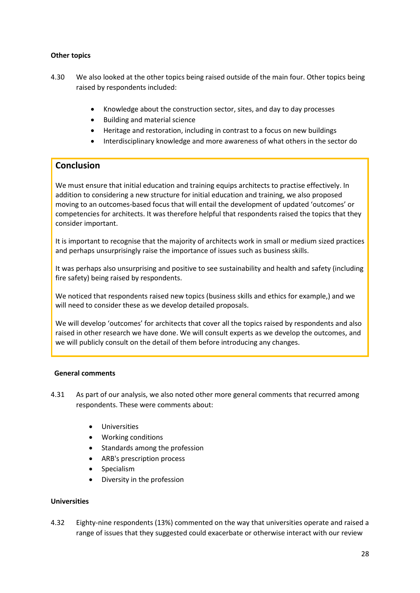#### **Other topics**

- 4.30 We also looked at the other topics being raised outside of the main four. Other topics being raised by respondents included:
	- Knowledge about the construction sector, sites, and day to day processes
	- Building and material science
	- Heritage and restoration, including in contrast to a focus on new buildings
	- Interdisciplinary knowledge and more awareness of what others in the sector do

#### **Conclusion**

We must ensure that initial education and training equips architects to practise effectively. In addition to considering a new structure for initial education and training, we also proposed moving to an outcomes-based focus that will entail the development of updated 'outcomes' or competencies for architects. It was therefore helpful that respondents raised the topics that they consider important.

It is important to recognise that the majority of architects work in small or medium sized practices and perhaps unsurprisingly raise the importance of issues such as business skills.

It was perhaps also unsurprising and positive to see sustainability and health and safety (including fire safety) being raised by respondents.

We noticed that respondents raised new topics (business skills and ethics for example,) and we will need to consider these as we develop detailed proposals.

We will develop 'outcomes' for architects that cover all the topics raised by respondents and also raised in other research we have done. We will consult experts as we develop the outcomes, and we will publicly consult on the detail of them before introducing any changes.

#### **General comments**

- 4.31 As part of our analysis, we also noted other more general comments that recurred among respondents. These were comments about:
	- **Universities**
	- Working conditions
	- Standards among the profession
	- ARB's prescription process
	- **Specialism**
	- Diversity in the profession

#### **Universities**

4.32 Eighty-nine respondents (13%) commented on the way that universities operate and raised a range of issues that they suggested could exacerbate or otherwise interact with our review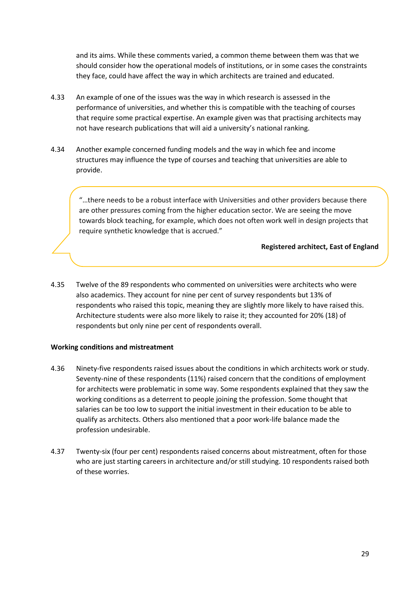and its aims. While these comments varied, a common theme between them was that we should consider how the operational models of institutions, or in some cases the constraints they face, could have affect the way in which architects are trained and educated.

- 4.33 An example of one of the issues was the way in which research is assessed in the performance of universities, and whether this is compatible with the teaching of courses that require some practical expertise. An example given was that practising architects may not have research publications that will aid a university's national ranking.
- 4.34 Another example concerned funding models and the way in which fee and income structures may influence the type of courses and teaching that universities are able to provide.

"…there needs to be a robust interface with Universities and other providers because there are other pressures coming from the higher education sector. We are seeing the move towards block teaching, for example, which does not often work well in design projects that require synthetic knowledge that is accrued."

#### **Registered architect, East of England**

4.35 Twelve of the 89 respondents who commented on universities were architects who were also academics. They account for nine per cent of survey respondents but 13% of respondents who raised this topic, meaning they are slightly more likely to have raised this. Architecture students were also more likely to raise it; they accounted for 20% (18) of respondents but only nine per cent of respondents overall.

#### **Working conditions and mistreatment**

- 4.36 Ninety-five respondents raised issues about the conditions in which architects work or study. Seventy-nine of these respondents (11%) raised concern that the conditions of employment for architects were problematic in some way. Some respondents explained that they saw the working conditions as a deterrent to people joining the profession. Some thought that salaries can be too low to support the initial investment in their education to be able to qualify as architects. Others also mentioned that a poor work-life balance made the profession undesirable.
- 4.37 Twenty-six (four per cent) respondents raised concerns about mistreatment, often for those who are just starting careers in architecture and/or still studying. 10 respondents raised both of these worries.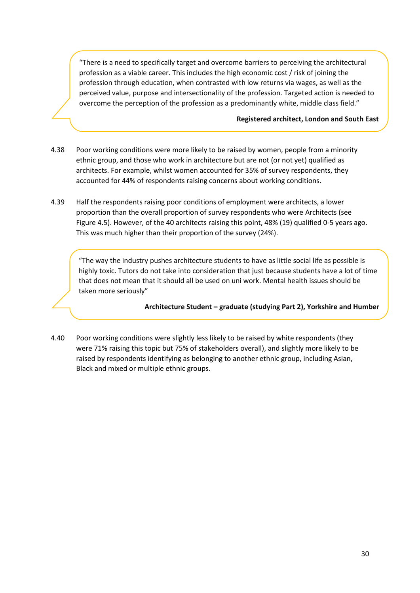"There is a need to specifically target and overcome barriers to perceiving the architectural profession as a viable career. This includes the high economic cost / risk of joining the profession through education, when contrasted with low returns via wages, as well as the perceived value, purpose and intersectionality of the profession. Targeted action is needed to overcome the perception of the profession as a predominantly white, middle class field."

#### **Registered architect, London and South East**

- 4.38 Poor working conditions were more likely to be raised by women, people from a minority ethnic group, and those who work in architecture but are not (or not yet) qualified as architects. For example, whilst women accounted for 35% of survey respondents, they accounted for 44% of respondents raising concerns about working conditions.
- 4.39 Half the respondents raising poor conditions of employment were architects, a lower proportion than the overall proportion of survey respondents who were Architects (see Figure 4.5). However, of the 40 architects raising this point, 48% (19) qualified 0-5 years ago. This was much higher than their proportion of the survey (24%).

"The way the industry pushes architecture students to have as little social life as possible is highly toxic. Tutors do not take into consideration that just because students have a lot of time that does not mean that it should all be used on uni work. Mental health issues should be taken more seriously"

**Architecture Student – graduate (studying Part 2), Yorkshire and Humber**

4.40 Poor working conditions were slightly less likely to be raised by white respondents (they were 71% raising this topic but 75% of stakeholders overall), and slightly more likely to be raised by respondents identifying as belonging to another ethnic group, including Asian, Black and mixed or multiple ethnic groups.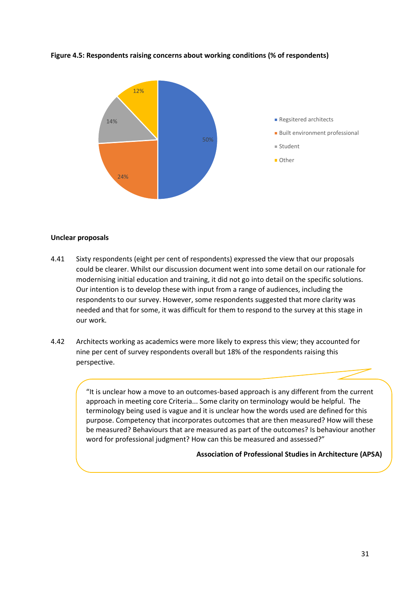

#### **Figure 4.5: Respondents raising concerns about working conditions (% of respondents)**

#### **Unclear proposals**

- 4.41 Sixty respondents (eight per cent of respondents) expressed the view that our proposals could be clearer. Whilst our discussion document went into some detail on our rationale for modernising initial education and training, it did not go into detail on the specific solutions. Our intention is to develop these with input from a range of audiences, including the respondents to our survey. However, some respondents suggested that more clarity was needed and that for some, it was difficult for them to respond to the survey at this stage in our work.
- 4.42 Architects working as academics were more likely to express this view; they accounted for nine per cent of survey respondents overall but 18% of the respondents raising this perspective.

"It is unclear how a move to an outcomes-based approach is any different from the current approach in meeting core Criteria... Some clarity on terminology would be helpful. The terminology being used is vague and it is unclear how the words used are defined for this purpose. Competency that incorporates outcomes that are then measured? How will these be measured? Behaviours that are measured as part of the outcomes? Is behaviour another word for professional judgment? How can this be measured and assessed?"

#### **Association of Professional Studies in Architecture (APSA)**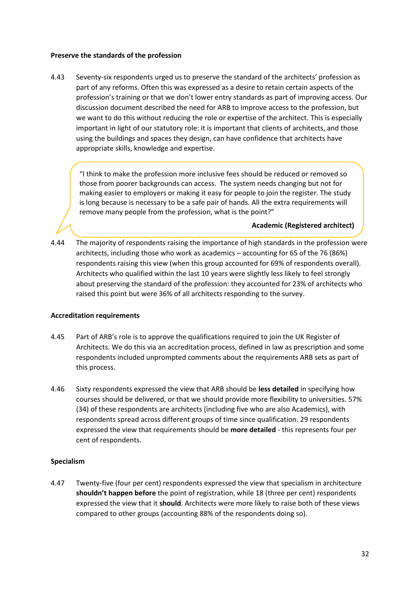#### **Preserve the standards of the profession**

4.43 Seventy-six respondents urged us to preserve the standard of the architects' profession as part of any reforms. Often this was expressed as a desire to retain certain aspects of the profession's training or that we don't lower entry standards as part of improving access. Our discussion document described the need for ARB to improve access to the profession, but we want to do this without reducing the role or expertise of the architect. This is especially important in light of our statutory role: it is important that clients of architects, and those using the buildings and spaces they design, can have confidence that architects have appropriate skills, knowledge and expertise.

"I think to make the profession more inclusive fees should be reduced or removed so those from poorer backgrounds can access. The system needs changing but not for making easier to employers or making it easy for people to join the register. The study is long because is necessary to be a safe pair of hands. All the extra requirements will remove many people from the profession, what is the point?"

**Academic (Registered architect)**

4.44 The majority of respondents raising the importance of high standards in the profession were architects, including those who work as academics – accounting for 65 of the 76 (86%) respondents raising this view (when this group accounted for 69% of respondents overall). Architects who qualified within the last 10 years were slightly less likely to feel strongly about preserving the standard of the profession: they accounted for 23% of architects who raised this point but were 36% of all architects responding to the survey.

#### **Accreditation requirements**

- 4.45 Part of ARB's role is to approve the qualifications required to join the UK Register of Architects. We do this via an accreditation process, defined in law as prescription and some respondents included unprompted comments about the requirements ARB sets as part of this process.
- 4.46 Sixty respondents expressed the view that ARB should be **less detailed** in specifying how courses should be delivered, or that we should provide more flexibility to universities. 57% (34) of these respondents are architects (including five who are also Academics), with respondents spread across different groups of time since qualification. 29 respondents expressed the view that requirements should be **more detailed** - this represents four per cent of respondents.

#### **Specialism**

4.47 Twenty-five (four per cent) respondents expressed the view that specialism in architecture **shouldn't happen before** the point of registration, while 18 (three per cent) respondents expressed the view that it **should**. Architects were more likely to raise both of these views compared to other groups (accounting 88% of the respondents doing so).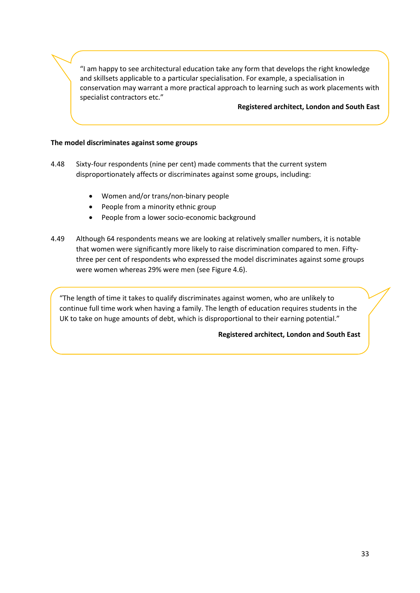"I am happy to see architectural education take any form that develops the right knowledge and skillsets applicable to a particular specialisation. For example, a specialisation in conservation may warrant a more practical approach to learning such as work placements with specialist contractors etc."

#### **Registered architect, London and South East**

#### **The model discriminates against some groups**

- 4.48 Sixty-four respondents (nine per cent) made comments that the current system disproportionately affects or discriminates against some groups, including:
	- Women and/or trans/non-binary people
	- People from a minority ethnic group
	- People from a lower socio-economic background
- 4.49 Although 64 respondents means we are looking at relatively smaller numbers, it is notable that women were significantly more likely to raise discrimination compared to men. Fiftythree per cent of respondents who expressed the model discriminates against some groups were women whereas 29% were men (see Figure 4.6).

"The length of time it takes to qualify discriminates against women, who are unlikely to continue full time work when having a family. The length of education requires students in the UK to take on huge amounts of debt, which is disproportional to their earning potential."

#### **Registered architect, London and South East**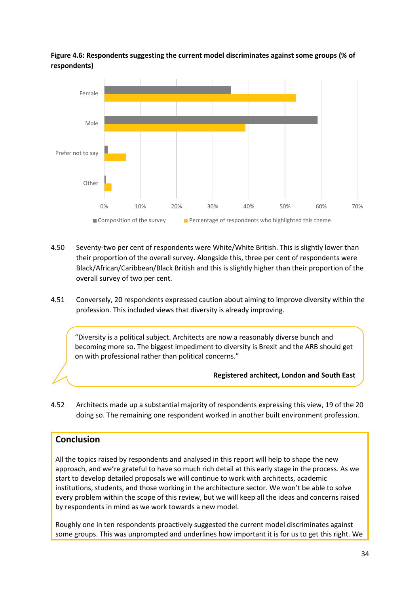#### **Figure 4.6: Respondents suggesting the current model discriminates against some groups (% of respondents)**



- 4.50 Seventy-two per cent of respondents were White/White British. This is slightly lower than their proportion of the overall survey. Alongside this, three per cent of respondents were Black/African/Caribbean/Black British and this is slightly higher than their proportion of the overall survey of two per cent.
- 4.51 Conversely, 20 respondents expressed caution about aiming to improve diversity within the profession. This included views that diversity is already improving.

"Diversity is a political subject. Architects are now a reasonably diverse bunch and becoming more so. The biggest impediment to diversity is Brexit and the ARB should get on with professional rather than political concerns."

**Registered architect, London and South East**

4.52 Architects made up a substantial majority of respondents expressing this view, 19 of the 20 doing so. The remaining one respondent worked in another built environment profession.

#### **Conclusion**

All the topics raised by respondents and analysed in this report will help to shape the new approach, and we're grateful to have so much rich detail at this early stage in the process. As we start to develop detailed proposals we will continue to work with architects, academic institutions, students, and those working in the architecture sector. We won't be able to solve every problem within the scope of this review, but we will keep all the ideas and concerns raised by respondents in mind as we work towards a new model.

Roughly one in ten respondents proactively suggested the current model discriminates against some groups. This was unprompted and underlines how important it is for us to get this right. We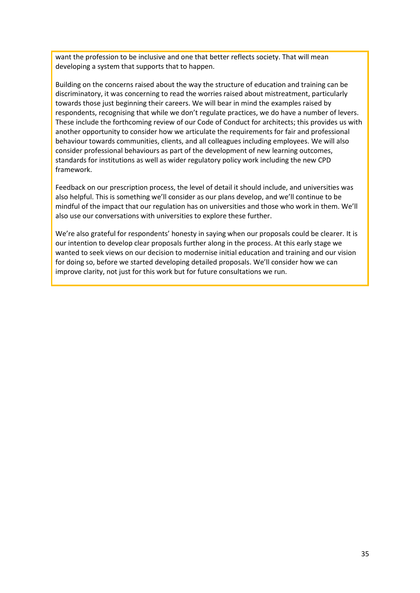want the profession to be inclusive and one that better reflects society. That will mean developing a system that supports that to happen.

Building on the concerns raised about the way the structure of education and training can be discriminatory, it was concerning to read the worries raised about mistreatment, particularly towards those just beginning their careers. We will bear in mind the examples raised by respondents, recognising that while we don't regulate practices, we do have a number of levers. These include the forthcoming review of our Code of Conduct for architects; this provides us with another opportunity to consider how we articulate the requirements for fair and professional behaviour towards communities, clients, and all colleagues including employees. We will also consider professional behaviours as part of the development of new learning outcomes, standards for institutions as well as wider regulatory policy work including the new CPD framework.

Feedback on our prescription process, the level of detail it should include, and universities was also helpful. This is something we'll consider as our plans develop, and we'll continue to be mindful of the impact that our regulation has on universities and those who work in them. We'll also use our conversations with universities to explore these further.

We're also grateful for respondents' honesty in saying when our proposals could be clearer. It is our intention to develop clear proposals further along in the process. At this early stage we wanted to seek views on our decision to modernise initial education and training and our vision for doing so, before we started developing detailed proposals. We'll consider how we can improve clarity, not just for this work but for future consultations we run.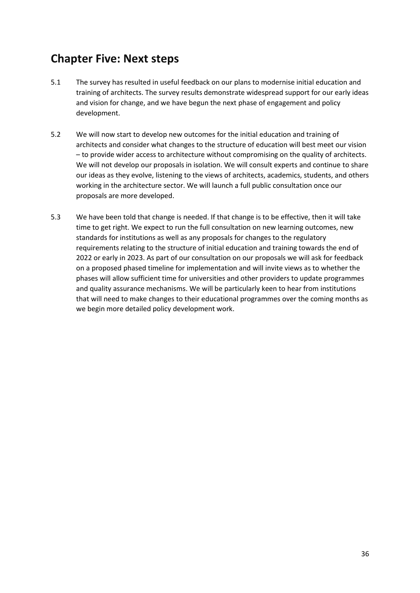### **Chapter Five: Next steps**

- 5.1 The survey has resulted in useful feedback on our plans to modernise initial education and training of architects. The survey results demonstrate widespread support for our early ideas and vision for change, and we have begun the next phase of engagement and policy development.
- 5.2 We will now start to develop new outcomes for the initial education and training of architects and consider what changes to the structure of education will best meet our vision – to provide wider access to architecture without compromising on the quality of architects. We will not develop our proposals in isolation. We will consult experts and continue to share our ideas as they evolve, listening to the views of architects, academics, students, and others working in the architecture sector. We will launch a full public consultation once our proposals are more developed.
- 5.3 We have been told that change is needed. If that change is to be effective, then it will take time to get right. We expect to run the full consultation on new learning outcomes, new standards for institutions as well as any proposals for changes to the regulatory requirements relating to the structure of initial education and training towards the end of 2022 or early in 2023. As part of our consultation on our proposals we will ask for feedback on a proposed phased timeline for implementation and will invite views as to whether the phases will allow sufficient time for universities and other providers to update programmes and quality assurance mechanisms. We will be particularly keen to hear from institutions that will need to make changes to their educational programmes over the coming months as we begin more detailed policy development work.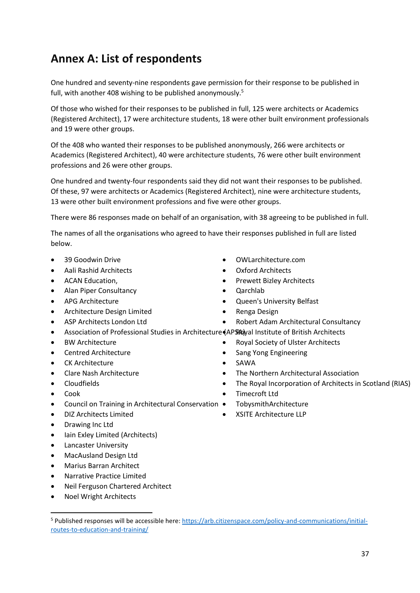### **Annex A: List of respondents**

One hundred and seventy-nine respondents gave permission for their response to be published in full, with another 408 wishing to be published anonymously.<sup>5</sup>

Of those who wished for their responses to be published in full, 125 were architects or Academics (Registered Architect), 17 were architecture students, 18 were other built environment professionals and 19 were other groups.

Of the 408 who wanted their responses to be published anonymously, 266 were architects or Academics (Registered Architect), 40 were architecture students, 76 were other built environment professions and 26 were other groups.

One hundred and twenty-four respondents said they did not want their responses to be published. Of these, 97 were architects or Academics (Registered Architect), nine were architecture students, 13 were other built environment professions and five were other groups.

There were 86 responses made on behalf of an organisation, with 38 agreeing to be published in full.

The names of all the organisations who agreed to have their responses published in full are listed below.

- 39 Goodwin Drive
- Aali Rashid Architects
- ACAN Education,
- Alan Piper Consultancy
- APG Architecture
- Architecture Design Limited
- ASP Architects London Ltd
- 
- **BW Architecture**
- Centred Architecture
- **CK Architecture**
- Clare Nash Architecture
- Cloudfields
- Cook
- Council on Training in Architectural Conservation
- DIZ Architects Limited
- Drawing Inc Ltd
- Iain Exley Limited (Architects)
- Lancaster University
- MacAusland Design Ltd
- Marius Barran Architect
- Narrative Practice Limited
- Neil Ferguson Chartered Architect
- Noel Wright Architects
- OWLarchitecture.com
- Oxford Architects
- Prewett Bizley Architects
- Qarchlab
- Queen's University Belfast
- Renga Design
	- Robert Adam Architectural Consultancy
- Association of Professional Studies in Architecture (APS4) al Institute of British Architects
	- Royal Society of Ulster Architects
		- Sang Yong Engineering
		- SAWA
		- The Northern Architectural Association
		- The Royal Incorporation of Architects in Scotland (RIAS)
		- Timecroft Ltd
		- TobysmithArchitecture
		- XSITE Architecture LLP

<sup>5</sup> Published responses will be accessible here: [https://arb.citizenspace.com/policy-and-communications/initial](https://arb.citizenspace.com/policy-and-communications/initial-routes-to-education-and-training/)[routes-to-education-and-training/](https://arb.citizenspace.com/policy-and-communications/initial-routes-to-education-and-training/)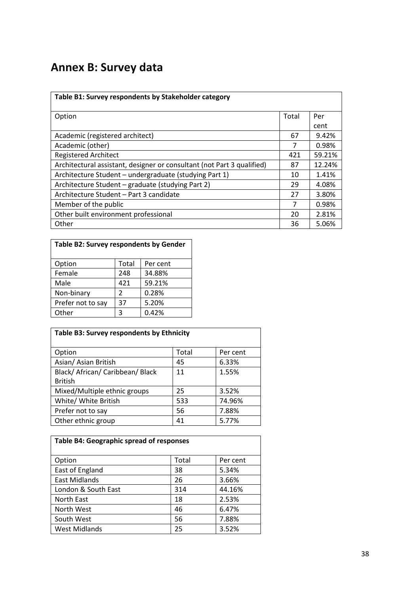### **Annex B: Survey data**

| Table B1: Survey respondents by Stakeholder category                   |       |        |
|------------------------------------------------------------------------|-------|--------|
| Option                                                                 | Total | Per    |
|                                                                        |       | cent   |
| Academic (registered architect)                                        | 67    | 9.42%  |
| Academic (other)                                                       | 7     | 0.98%  |
| <b>Registered Architect</b>                                            | 421   | 59.21% |
| Architectural assistant, designer or consultant (not Part 3 qualified) | 87    | 12.24% |
| Architecture Student - undergraduate (studying Part 1)                 | 10    | 1.41%  |
| Architecture Student - graduate (studying Part 2)                      | 29    | 4.08%  |
| Architecture Student - Part 3 candidate                                | 27    | 3.80%  |
| Member of the public                                                   | 7     | 0.98%  |
| Other built environment professional                                   | 20    | 2.81%  |
| Other                                                                  | 36    | 5.06%  |

| Table B2: Survey respondents by Gender |       |          |  |  |
|----------------------------------------|-------|----------|--|--|
| Option                                 | Total | Per cent |  |  |
| Female                                 | 248   | 34.88%   |  |  |
| Male                                   | 421   | 59.21%   |  |  |
| Non-binary                             | 2     | 0.28%    |  |  |
| Prefer not to say                      | 37    | 5.20%    |  |  |
| Other                                  | 3     | 0.42%    |  |  |

| Table B3: Survey respondents by Ethnicity |       |          |  |  |  |
|-------------------------------------------|-------|----------|--|--|--|
| Option                                    | Total | Per cent |  |  |  |
| Asian/ Asian British                      | 45    | 6.33%    |  |  |  |
| Black/ African/ Caribbean/ Black          | 11    | 1.55%    |  |  |  |
| <b>British</b>                            |       |          |  |  |  |
| Mixed/Multiple ethnic groups              | 25    | 3.52%    |  |  |  |
| White/ White British                      | 533   | 74.96%   |  |  |  |
| Prefer not to say                         | 56    | 7.88%    |  |  |  |
| Other ethnic group                        | 41    | 5.77%    |  |  |  |

| Table B4: Geographic spread of responses |       |          |  |  |  |
|------------------------------------------|-------|----------|--|--|--|
| Option                                   | Total | Per cent |  |  |  |
| East of England                          | 38    | 5.34%    |  |  |  |
| East Midlands                            | 26    | 3.66%    |  |  |  |
| London & South East                      | 314   | 44.16%   |  |  |  |
| North East                               | 18    | 2.53%    |  |  |  |
| North West                               | 46    | 6.47%    |  |  |  |
| South West                               | 56    | 7.88%    |  |  |  |
| <b>West Midlands</b>                     | 25    | 3.52%    |  |  |  |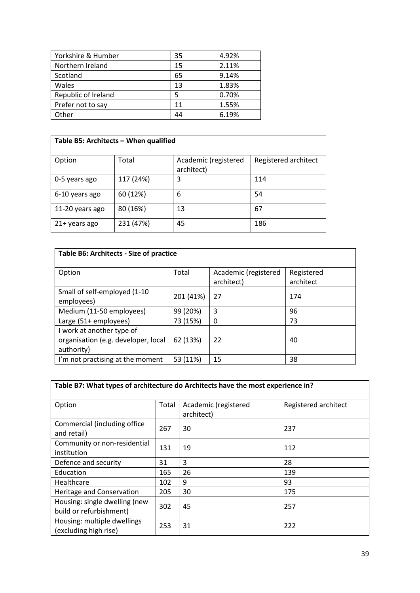| Yorkshire & Humber  | 35 | 4.92% |
|---------------------|----|-------|
| Northern Ireland    | 15 | 2.11% |
| Scotland            | 65 | 9.14% |
| Wales               | 13 | 1.83% |
| Republic of Ireland |    | 0.70% |
| Prefer not to say   | 11 | 1.55% |
| Other               | 44 | 6.19% |

| Table B5: Architects - When qualified |           |                                    |                      |  |  |
|---------------------------------------|-----------|------------------------------------|----------------------|--|--|
| Option                                | Total     | Academic (registered<br>architect) | Registered architect |  |  |
| 0-5 years ago                         | 117 (24%) | 3                                  | 114                  |  |  |
| 6-10 years ago                        | 60 (12%)  | 6                                  | 54                   |  |  |
| 11-20 years ago                       | 80 (16%)  | 13                                 | 67                   |  |  |
| 21+ years ago                         | 231 (47%) | 45                                 | 186                  |  |  |

| Table B6: Architects - Size of practice                                        |           |                                    |                         |  |  |
|--------------------------------------------------------------------------------|-----------|------------------------------------|-------------------------|--|--|
| Option                                                                         | Total     | Academic (registered<br>architect) | Registered<br>architect |  |  |
| Small of self-employed (1-10<br>employees)                                     | 201 (41%) | 27                                 | 174                     |  |  |
| Medium (11-50 employees)                                                       | 99 (20%)  | 3                                  | 96                      |  |  |
| Large (51+ employees)                                                          | 73 (15%)  | 0                                  | 73                      |  |  |
| I work at another type of<br>organisation (e.g. developer, local<br>authority) | 62 (13%)  | 22                                 | 40                      |  |  |
| I'm not practising at the moment                                               | 53 (11%)  | 15                                 | 38                      |  |  |

| Table B7: What types of architecture do Architects have the most experience in? |       |                                    |                      |  |  |
|---------------------------------------------------------------------------------|-------|------------------------------------|----------------------|--|--|
| Option                                                                          | Total | Academic (registered<br>architect) | Registered architect |  |  |
| Commercial (including office<br>and retail)                                     | 267   | 30                                 | 237                  |  |  |
| Community or non-residential<br>institution                                     | 131   | 19                                 | 112                  |  |  |
| Defence and security                                                            | 31    | 3                                  | 28                   |  |  |
| Education                                                                       | 165   | 26                                 | 139                  |  |  |
| Healthcare                                                                      | 102   | 9                                  | 93                   |  |  |
| Heritage and Conservation                                                       | 205   | 30                                 | 175                  |  |  |
| Housing: single dwelling (new<br>build or refurbishment)                        | 302   | 45                                 | 257                  |  |  |
| Housing: multiple dwellings<br>(excluding high rise)                            | 253   | 31                                 | 222                  |  |  |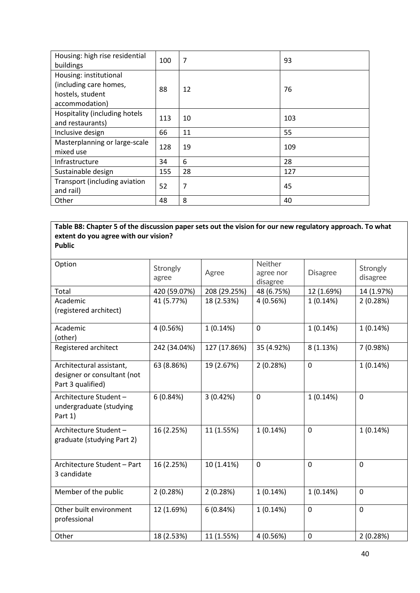| Housing: high rise residential<br>buildings                                            | 100 | 7  | 93  |
|----------------------------------------------------------------------------------------|-----|----|-----|
| Housing: institutional<br>(including care homes,<br>hostels, student<br>accommodation) | 88  | 12 | 76  |
| Hospitality (including hotels<br>and restaurants)                                      | 113 | 10 | 103 |
| Inclusive design                                                                       | 66  | 11 | 55  |
| Masterplanning or large-scale<br>mixed use                                             | 128 | 19 | 109 |
| Infrastructure                                                                         | 34  | 6  | 28  |
| Sustainable design                                                                     | 155 | 28 | 127 |
| Transport (including aviation<br>and rail)                                             | 52  | 7  | 45  |
| Other                                                                                  | 48  | 8  | 40  |

#### **Table B8: Chapter 5 of the discussion paper sets out the vision for our new regulatory approach. To what extent do you agree with our vision? Public**

| Option                                                                       | Strongly<br>agree | Agree        | Neither<br>agree nor<br>disagree | <b>Disagree</b> | Strongly<br>disagree |
|------------------------------------------------------------------------------|-------------------|--------------|----------------------------------|-----------------|----------------------|
| Total                                                                        | 420 (59.07%)      | 208 (29.25%) | 48 (6.75%)                       | 12 (1.69%)      | 14 (1.97%)           |
| Academic<br>(registered architect)                                           | 41 (5.77%)        | 18 (2.53%)   | 4 (0.56%)                        | 1(0.14%)        | 2(0.28%)             |
| Academic<br>(other)                                                          | 4 (0.56%)         | 1(0.14%)     | $\mathbf 0$                      | 1(0.14%)        | 1(0.14%)             |
| Registered architect                                                         | 242 (34.04%)      | 127 (17.86%) | 35 (4.92%)                       | 8(1.13%)        | 7 (0.98%)            |
| Architectural assistant,<br>designer or consultant (not<br>Part 3 qualified) | 63 (8.86%)        | 19 (2.67%)   | 2(0.28%)                         | $\mathbf 0$     | 1(0.14%)             |
| Architecture Student-<br>undergraduate (studying<br>Part 1)                  | 6(0.84%)          | 3(0.42%)     | $\mathbf 0$                      | 1(0.14%)        | 0                    |
| Architecture Student-<br>graduate (studying Part 2)                          | 16 (2.25%)        | 11 (1.55%)   | 1(0.14%)                         | 0               | 1(0.14%)             |
| Architecture Student - Part<br>3 candidate                                   | 16 (2.25%)        | 10 (1.41%)   | $\mathbf 0$                      | 0               | 0                    |
| Member of the public                                                         | 2(0.28%)          | 2(0.28%)     | 1(0.14%)                         | 1(0.14%)        | 0                    |
| Other built environment<br>professional                                      | 12 (1.69%)        | 6(0.84%)     | 1(0.14%)                         | $\mathbf 0$     | 0                    |
| Other                                                                        | 18 (2.53%)        | 11 (1.55%)   | 4 (0.56%)                        | 0               | 2(0.28%)             |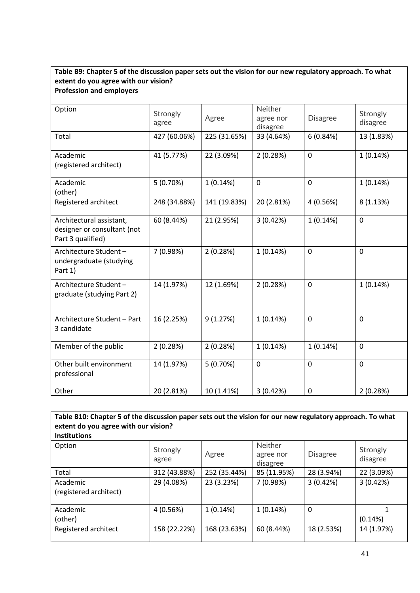#### **Table B9: Chapter 5 of the discussion paper sets out the vision for our new regulatory approach. To what extent do you agree with our vision? Profession and employers**

| Option                                                                       | Strongly<br>agree | Agree        | <b>Neither</b><br>agree nor<br>disagree | <b>Disagree</b> | Strongly<br>disagree |
|------------------------------------------------------------------------------|-------------------|--------------|-----------------------------------------|-----------------|----------------------|
| Total                                                                        | 427 (60.06%)      | 225 (31.65%) | 33 (4.64%)                              | 6(0.84%)        | 13 (1.83%)           |
| Academic<br>(registered architect)                                           | 41 (5.77%)        | 22 (3.09%)   | 2(0.28%)                                | $\mathbf 0$     | 1(0.14%)             |
| Academic<br>(other)                                                          | 5(0.70%)          | 1(0.14%)     | $\overline{0}$                          | $\overline{0}$  | 1(0.14%)             |
| Registered architect                                                         | 248 (34.88%)      | 141 (19.83%) | 20 (2.81%)                              | 4 (0.56%)       | 8(1.13%)             |
| Architectural assistant,<br>designer or consultant (not<br>Part 3 qualified) | 60 (8.44%)        | 21 (2.95%)   | 3(0.42%)                                | 1(0.14%)        | 0                    |
| Architecture Student-<br>undergraduate (studying<br>Part 1)                  | 7 (0.98%)         | 2(0.28%)     | 1(0.14%)                                | $\mathbf 0$     | 0                    |
| Architecture Student-<br>graduate (studying Part 2)                          | 14 (1.97%)        | 12 (1.69%)   | 2(0.28%)                                | $\mathbf 0$     | 1(0.14%)             |
| Architecture Student - Part<br>3 candidate                                   | 16 (2.25%)        | 9(1.27%)     | 1(0.14%)                                | $\mathbf 0$     | 0                    |
| Member of the public                                                         | 2(0.28%)          | 2(0.28%)     | 1(0.14%)                                | 1(0.14%)        | 0                    |
| Other built environment<br>professional                                      | 14 (1.97%)        | 5(0.70%)     | $\mathbf 0$                             | $\overline{0}$  | $\mathbf 0$          |
| Other                                                                        | 20 (2.81%)        | 10 (1.41%)   | 3(0.42%)                                | 0               | 2(0.28%)             |

| Table B10: Chapter 5 of the discussion paper sets out the vision for our new regulatory approach. To what<br>extent do you agree with our vision?<br><b>Institutions</b> |                   |              |                                         |                 |                      |
|--------------------------------------------------------------------------------------------------------------------------------------------------------------------------|-------------------|--------------|-----------------------------------------|-----------------|----------------------|
| Option                                                                                                                                                                   | Strongly<br>agree | Agree        | <b>Neither</b><br>agree nor<br>disagree | <b>Disagree</b> | Strongly<br>disagree |
| Total                                                                                                                                                                    | 312 (43.88%)      | 252 (35.44%) | 85 (11.95%)                             | 28 (3.94%)      | 22 (3.09%)           |
| Academic<br>(registered architect)                                                                                                                                       | 29 (4.08%)        | 23 (3.23%)   | 7(0.98%)                                | 3(0.42%)        | 3(0.42%)             |
| Academic<br>(other)                                                                                                                                                      | 4(0.56%)          | 1(0.14%)     | 1(0.14%)                                | 0               | (0.14%)              |
| Registered architect                                                                                                                                                     | 158 (22.22%)      | 168 (23.63%) | 60 (8.44%)                              | 18 (2.53%)      | 14 (1.97%)           |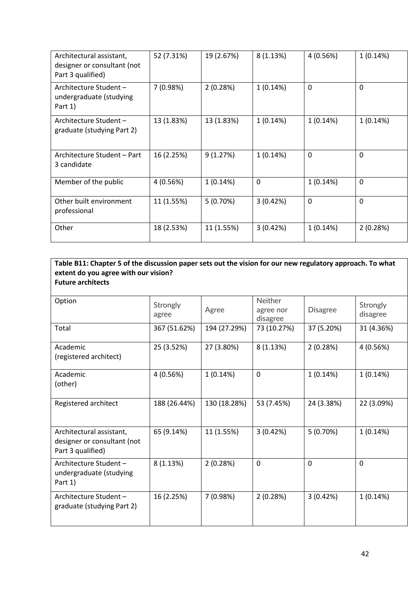| Architectural assistant,<br>designer or consultant (not<br>Part 3 qualified) | 52 (7.31%) | 19 (2.67%) | 8(1.13%)    | 4 (0.56%)    | 1(0.14%)     |
|------------------------------------------------------------------------------|------------|------------|-------------|--------------|--------------|
| Architecture Student-<br>undergraduate (studying<br>Part 1)                  | 7(0.98%)   | 2(0.28%)   | 1(0.14%)    | $\mathbf{0}$ | 0            |
| Architecture Student -<br>graduate (studying Part 2)                         | 13 (1.83%) | 13 (1.83%) | 1(0.14%)    | 1(0.14%)     | 1(0.14%)     |
| Architecture Student – Part<br>3 candidate                                   | 16 (2.25%) | 9(1.27%)   | 1(0.14%)    | 0            | $\mathbf{0}$ |
| Member of the public                                                         | 4 (0.56%)  | 1(0.14%)   | $\mathbf 0$ | 1(0.14%)     | $\Omega$     |
| Other built environment<br>professional                                      | 11 (1.55%) | 5(0.70%)   | 3(0.42%)    | 0            | $\Omega$     |
| Other                                                                        | 18 (2.53%) | 11 (1.55%) | 3(0.42%)    | 1(0.14%)     | 2(0.28%)     |

#### **Table B11: Chapter 5 of the discussion paper sets out the vision for our new regulatory approach. To what extent do you agree with our vision? Future architects**

| Option                                                                       | Strongly<br>agree | Agree        | Neither<br>agree nor<br>disagree | <b>Disagree</b> | Strongly<br>disagree |
|------------------------------------------------------------------------------|-------------------|--------------|----------------------------------|-----------------|----------------------|
| Total                                                                        | 367 (51.62%)      | 194 (27.29%) | 73 (10.27%)                      | 37 (5.20%)      | 31 (4.36%)           |
| Academic<br>(registered architect)                                           | 25 (3.52%)        | 27 (3.80%)   | 8(1.13%)                         | 2(0.28%)        | 4 (0.56%)            |
| Academic<br>(other)                                                          | 4 (0.56%)         | 1(0.14%)     | $\mathbf 0$                      | 1(0.14%)        | 1(0.14%)             |
| Registered architect                                                         | 188 (26.44%)      | 130 (18.28%) | 53 (7.45%)                       | 24 (3.38%)      | 22 (3.09%)           |
| Architectural assistant,<br>designer or consultant (not<br>Part 3 qualified) | 65 (9.14%)        | 11 (1.55%)   | 3(0.42%)                         | 5(0.70%)        | 1(0.14%)             |
| Architecture Student-<br>undergraduate (studying<br>Part 1)                  | 8(1.13%)          | 2(0.28%)     | 0                                | 0               | 0                    |
| Architecture Student-<br>graduate (studying Part 2)                          | 16 (2.25%)        | 7 (0.98%)    | 2(0.28%)                         | 3(0.42%)        | 1(0.14%)             |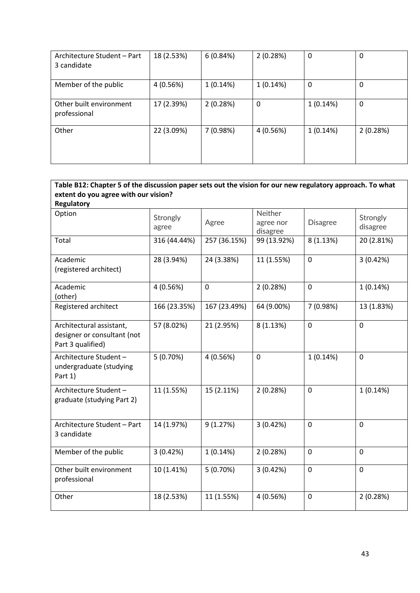| Architecture Student - Part<br>3 candidate | 18 (2.53%) | 6(0.84%)  | 2(0.28%) | 0        | 0        |
|--------------------------------------------|------------|-----------|----------|----------|----------|
| Member of the public                       | 4(0.56%)   | 1(0.14%)  | 1(0.14%) | 0        | 0        |
| Other built environment<br>professional    | 17 (2.39%) | 2(0.28%)  | 0        | 1(0.14%) | 0        |
| Other                                      | 22 (3.09%) | 7 (0.98%) | 4(0.56%) | 1(0.14%) | 2(0.28%) |

| Table B12: Chapter 5 of the discussion paper sets out the vision for our new regulatory approach. To what |                   |              |                                  |                 |                      |
|-----------------------------------------------------------------------------------------------------------|-------------------|--------------|----------------------------------|-----------------|----------------------|
| extent do you agree with our vision?                                                                      |                   |              |                                  |                 |                      |
| <b>Regulatory</b><br>Option                                                                               | Strongly<br>agree | Agree        | Neither<br>agree nor<br>disagree | <b>Disagree</b> | Strongly<br>disagree |
| Total                                                                                                     | 316 (44.44%)      | 257 (36.15%) | 99 (13.92%)                      | 8(1.13%)        | 20 (2.81%)           |
| Academic<br>(registered architect)                                                                        | 28 (3.94%)        | 24 (3.38%)   | 11 (1.55%)                       | $\mathbf 0$     | 3(0.42%)             |
| Academic<br>(other)                                                                                       | 4 (0.56%)         | $\mathbf 0$  | 2(0.28%)                         | $\mathbf 0$     | 1(0.14%)             |
| Registered architect                                                                                      | 166 (23.35%)      | 167 (23.49%) | 64 (9.00%)                       | 7 (0.98%)       | 13 (1.83%)           |
| Architectural assistant,<br>designer or consultant (not<br>Part 3 qualified)                              | 57 (8.02%)        | 21 (2.95%)   | 8(1.13%)                         | $\mathbf 0$     | 0                    |
| Architecture Student-<br>undergraduate (studying<br>Part 1)                                               | 5(0.70%)          | 4 (0.56%)    | $\mathbf 0$                      | 1(0.14%)        | 0                    |
| Architecture Student-<br>graduate (studying Part 2)                                                       | 11 (1.55%)        | 15 (2.11%)   | 2(0.28%)                         | 0               | 1(0.14%)             |
| Architecture Student - Part<br>3 candidate                                                                | 14 (1.97%)        | 9(1.27%)     | 3(0.42%)                         | $\mathbf 0$     | 0                    |
| Member of the public                                                                                      | 3(0.42%)          | 1(0.14%)     | 2(0.28%)                         | $\mathbf 0$     | 0                    |
| Other built environment<br>professional                                                                   | 10 (1.41%)        | 5(0.70%)     | 3(0.42%)                         | $\mathbf 0$     | 0                    |
| Other                                                                                                     | 18 (2.53%)        | 11 (1.55%)   | 4 (0.56%)                        | 0               | 2(0.28%)             |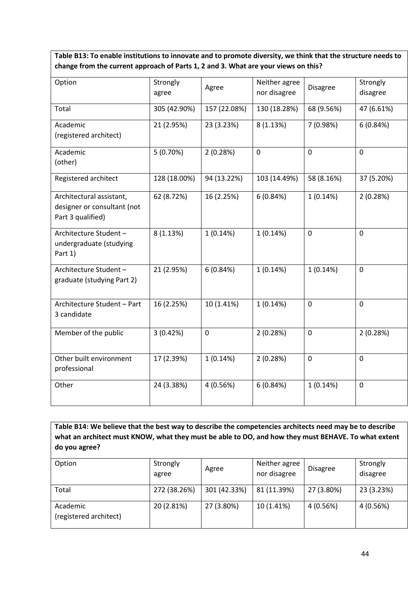**Table B13: To enable institutions to innovate and to promote diversity, we think that the structure needs to change from the current approach of Parts 1, 2 and 3. What are your views on this?**

| Option                                                                       | Strongly<br>agree | Agree        | Neither agree<br>nor disagree | <b>Disagree</b> | Strongly<br>disagree |
|------------------------------------------------------------------------------|-------------------|--------------|-------------------------------|-----------------|----------------------|
| Total                                                                        | 305 (42.90%)      | 157 (22.08%) | 130 (18.28%)                  | 68 (9.56%)      | 47 (6.61%)           |
| Academic<br>(registered architect)                                           | 21 (2.95%)        | 23 (3.23%)   | 8(1.13%)                      | 7 (0.98%)       | 6(0.84%)             |
| Academic<br>(other)                                                          | 5(0.70%)          | 2(0.28%)     | $\mathbf 0$                   | $\mathbf 0$     | $\mathbf 0$          |
| Registered architect                                                         | 128 (18.00%)      | 94 (13.22%)  | 103 (14.49%)                  | 58 (8.16%)      | 37 (5.20%)           |
| Architectural assistant,<br>designer or consultant (not<br>Part 3 qualified) | 62 (8.72%)        | 16 (2.25%)   | 6(0.84%)                      | 1(0.14%)        | 2(0.28%)             |
| Architecture Student-<br>undergraduate (studying<br>Part 1)                  | 8(1.13%)          | 1(0.14%)     | 1(0.14%)                      | 0               | $\Omega$             |
| Architecture Student-<br>graduate (studying Part 2)                          | 21 (2.95%)        | 6(0.84%)     | 1(0.14%)                      | 1(0.14%)        | $\mathbf 0$          |
| Architecture Student - Part<br>3 candidate                                   | 16 (2.25%)        | 10 (1.41%)   | 1(0.14%)                      | 0               | $\mathbf 0$          |
| Member of the public                                                         | 3(0.42%)          | $\mathbf 0$  | 2(0.28%)                      | $\mathbf 0$     | 2(0.28%)             |
| Other built environment<br>professional                                      | 17 (2.39%)        | 1(0.14%)     | 2(0.28%)                      | 0               | $\mathbf 0$          |
| Other                                                                        | 24 (3.38%)        | 4 (0.56%)    | 6(0.84%)                      | 1(0.14%)        | $\mathbf 0$          |

**Table B14: We believe that the best way to describe the competencies architects need may be to describe what an architect must KNOW, what they must be able to DO, and how they must BEHAVE. To what extent do you agree?**

| Option                             | Strongly<br>agree | Agree        | Neither agree<br>nor disagree | <b>Disagree</b> | Strongly<br>disagree |
|------------------------------------|-------------------|--------------|-------------------------------|-----------------|----------------------|
| Total                              | 272 (38.26%)      | 301 (42.33%) | 81 (11.39%)                   | 27 (3.80%)      | 23 (3.23%)           |
| Academic<br>(registered architect) | 20 (2.81%)        | 27 (3.80%)   | 10 (1.41%)                    | 4 (0.56%)       | 4(0.56%)             |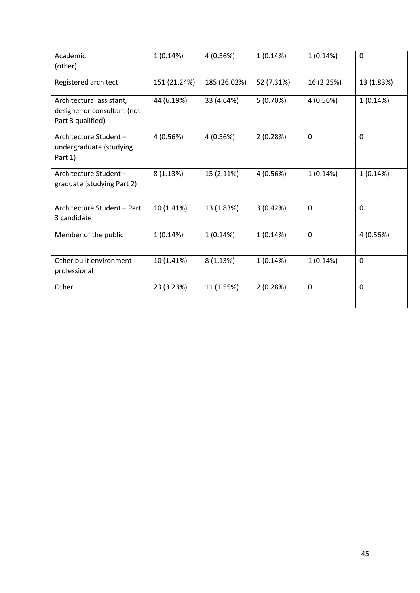| Academic<br>(other)                                                          | 1(0.14%)     | 4(0.56%)     | 1(0.14%)   | 1(0.14%)    | 0           |
|------------------------------------------------------------------------------|--------------|--------------|------------|-------------|-------------|
| Registered architect                                                         | 151 (21.24%) | 185 (26.02%) | 52 (7.31%) | 16 (2.25%)  | 13 (1.83%)  |
| Architectural assistant,<br>designer or consultant (not<br>Part 3 qualified) | 44 (6.19%)   | 33 (4.64%)   | 5(0.70%)   | 4(0.56%)    | 1(0.14%)    |
| Architecture Student-<br>undergraduate (studying<br>Part 1)                  | 4(0.56%)     | 4(0.56%)     | 2(0.28%)   | $\mathbf 0$ | 0           |
| Architecture Student-<br>graduate (studying Part 2)                          | 8(1.13%)     | 15 (2.11%)   | 4 (0.56%)  | 1(0.14%)    | 1(0.14%)    |
| Architecture Student - Part<br>3 candidate                                   | 10 (1.41%)   | 13 (1.83%)   | 3(0.42%)   | $\mathbf 0$ | 0           |
| Member of the public                                                         | 1(0.14%)     | 1(0.14%)     | 1(0.14%)   | $\mathbf 0$ | 4 (0.56%)   |
| Other built environment<br>professional                                      | 10 (1.41%)   | 8(1.13%)     | 1(0.14%)   | 1(0.14%)    | $\mathbf 0$ |
| Other                                                                        | 23 (3.23%)   | 11 (1.55%)   | 2(0.28%)   | 0           | 0           |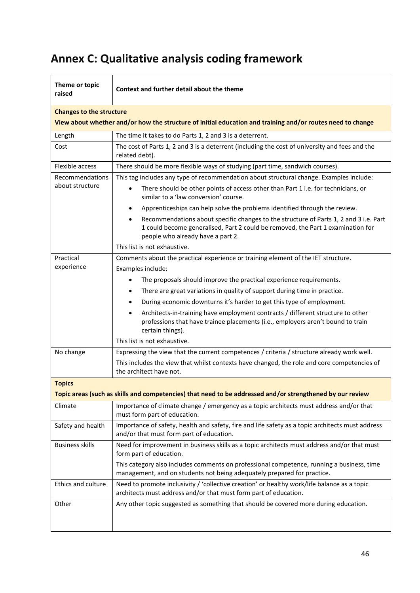# **Annex C: Qualitative analysis coding framework**

| Theme or topic<br>raised | Context and further detail about the theme                                                                                                                                                                                 |  |  |  |  |
|--------------------------|----------------------------------------------------------------------------------------------------------------------------------------------------------------------------------------------------------------------------|--|--|--|--|
|                          | <b>Changes to the structure</b>                                                                                                                                                                                            |  |  |  |  |
|                          | View about whether and/or how the structure of initial education and training and/or routes need to change                                                                                                                 |  |  |  |  |
| Length                   | The time it takes to do Parts 1, 2 and 3 is a deterrent.                                                                                                                                                                   |  |  |  |  |
| Cost                     | The cost of Parts 1, 2 and 3 is a deterrent (including the cost of university and fees and the<br>related debt).                                                                                                           |  |  |  |  |
| Flexible access          | There should be more flexible ways of studying (part time, sandwich courses).                                                                                                                                              |  |  |  |  |
| Recommendations          | This tag includes any type of recommendation about structural change. Examples include:                                                                                                                                    |  |  |  |  |
| about structure          | There should be other points of access other than Part 1 i.e. for technicians, or<br>$\bullet$<br>similar to a 'law conversion' course.                                                                                    |  |  |  |  |
|                          | Apprenticeships can help solve the problems identified through the review.<br>$\bullet$                                                                                                                                    |  |  |  |  |
|                          | Recommendations about specific changes to the structure of Parts 1, 2 and 3 i.e. Part<br>$\bullet$<br>1 could become generalised, Part 2 could be removed, the Part 1 examination for<br>people who already have a part 2. |  |  |  |  |
|                          | This list is not exhaustive.                                                                                                                                                                                               |  |  |  |  |
| Practical                | Comments about the practical experience or training element of the IET structure.                                                                                                                                          |  |  |  |  |
| experience               | Examples include:                                                                                                                                                                                                          |  |  |  |  |
|                          | The proposals should improve the practical experience requirements.<br>$\bullet$                                                                                                                                           |  |  |  |  |
|                          | There are great variations in quality of support during time in practice.<br>$\bullet$                                                                                                                                     |  |  |  |  |
|                          | During economic downturns it's harder to get this type of employment.<br>$\bullet$                                                                                                                                         |  |  |  |  |
|                          | Architects-in-training have employment contracts / different structure to other<br>$\bullet$<br>professions that have trainee placements (i.e., employers aren't bound to train<br>certain things).                        |  |  |  |  |
|                          | This list is not exhaustive.                                                                                                                                                                                               |  |  |  |  |
| No change                | Expressing the view that the current competences / criteria / structure already work well.                                                                                                                                 |  |  |  |  |
|                          | This includes the view that whilst contexts have changed, the role and core competencies of<br>the architect have not.                                                                                                     |  |  |  |  |
| <b>Topics</b>            |                                                                                                                                                                                                                            |  |  |  |  |
|                          | Topic areas (such as skills and competencies) that need to be addressed and/or strengthened by our review                                                                                                                  |  |  |  |  |
| Climate                  | Importance of climate change / emergency as a topic architects must address and/or that<br>must form part of education.                                                                                                    |  |  |  |  |
| Safety and health        | Importance of safety, health and safety, fire and life safety as a topic architects must address<br>and/or that must form part of education.                                                                               |  |  |  |  |
| <b>Business skills</b>   | Need for improvement in business skills as a topic architects must address and/or that must<br>form part of education.                                                                                                     |  |  |  |  |
|                          | This category also includes comments on professional competence, running a business, time<br>management, and on students not being adequately prepared for practice.                                                       |  |  |  |  |
| Ethics and culture       | Need to promote inclusivity / 'collective creation' or healthy work/life balance as a topic<br>architects must address and/or that must form part of education.                                                            |  |  |  |  |
| Other                    | Any other topic suggested as something that should be covered more during education.                                                                                                                                       |  |  |  |  |